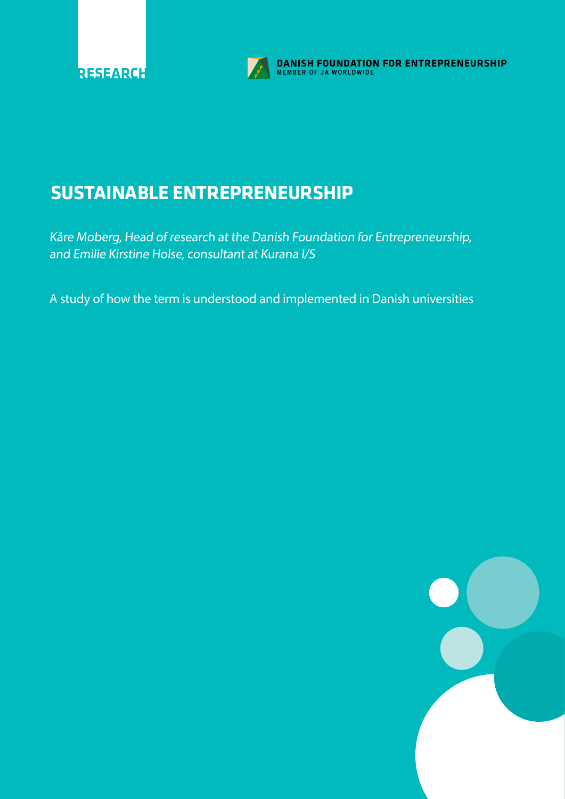

**DANISH FOUNDATION FOR ENTREPRENEURSHIP**<br>MEMBER OF JA WORLDWIDE

# **SUSTAINABLE ENTREPRENEURSHIP**

Kåre Moberg, Head of research at the Danish Foundation for Entrepreneurship, and Emilie Kirstine Holse, consultant at Kurana I/S

A study of how the term is understood and implemented in Danish universities

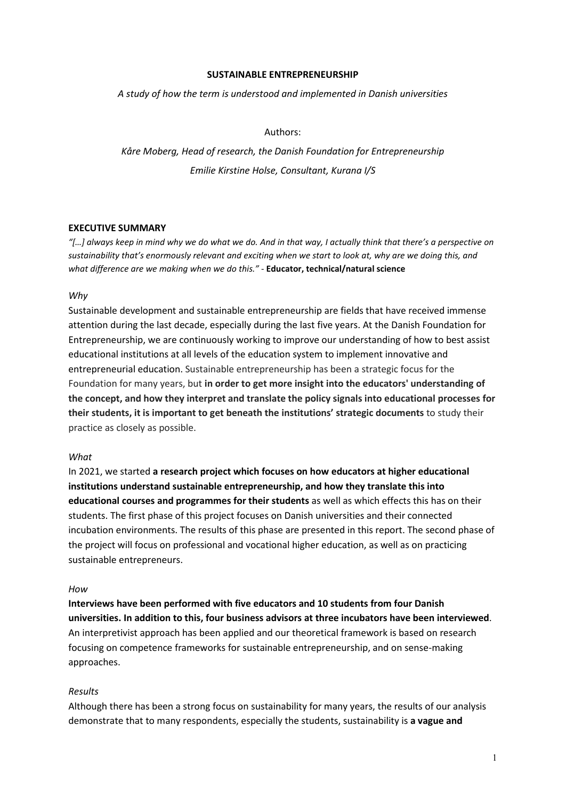### **SUSTAINABLE ENTREPRENEURSHIP**

*A study of how the term is understood and implemented in Danish universities*

# Authors:

*Kåre Moberg, Head of research, the Danish Foundation for Entrepreneurship Emilie Kirstine Holse, Consultant, Kurana I/S*

# **EXECUTIVE SUMMARY**

*"[…] always keep in mind why we do what we do. And in that way, I actually think that there's a perspective on sustainability that's enormously relevant and exciting when we start to look at, why are we doing this, and what difference are we making when we do this."* - **Educator, technical/natural science**

### *Why*

Sustainable development and sustainable entrepreneurship are fields that have received immense attention during the last decade, especially during the last five years. At the Danish Foundation for Entrepreneurship, we are continuously working to improve our understanding of how to best assist educational institutions at all levels of the education system to implement innovative and entrepreneurial education. Sustainable entrepreneurship has been a strategic focus for the Foundation for many years, but **in order to get more insight into the educators' understanding of the concept, and how they interpret and translate the policy signals into educational processes for their students, it is important to get beneath the institutions' strategic documents** to study their practice as closely as possible.

# *What*

In 2021, we started **a research project which focuses on how educators at higher educational institutions understand sustainable entrepreneurship, and how they translate this into educational courses and programmes for their students** as well as which effects this has on their students. The first phase of this project focuses on Danish universities and their connected incubation environments. The results of this phase are presented in this report. The second phase of the project will focus on professional and vocational higher education, as well as on practicing sustainable entrepreneurs.

### *How*

**Interviews have been performed with five educators and 10 students from four Danish universities. In addition to this, four business advisors at three incubators have been interviewed**. An interpretivist approach has been applied and our theoretical framework is based on research focusing on competence frameworks for sustainable entrepreneurship, and on sense-making approaches.

### *Results*

Although there has been a strong focus on sustainability for many years, the results of our analysis demonstrate that to many respondents, especially the students, sustainability is **a vague and**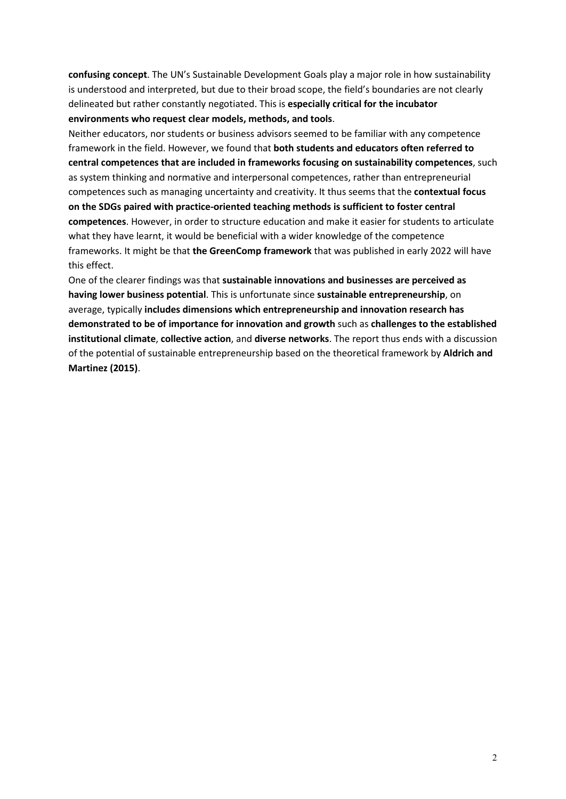**confusing concept**. The UN's Sustainable Development Goals play a major role in how sustainability is understood and interpreted, but due to their broad scope, the field's boundaries are not clearly delineated but rather constantly negotiated. This is **especially critical for the incubator environments who request clear models, methods, and tools**.

Neither educators, nor students or business advisors seemed to be familiar with any competence framework in the field. However, we found that **both students and educators often referred to central competences that are included in frameworks focusing on sustainability competences**, such as system thinking and normative and interpersonal competences, rather than entrepreneurial competences such as managing uncertainty and creativity. It thus seems that the **contextual focus on the SDGs paired with practice-oriented teaching methods is sufficient to foster central competences**. However, in order to structure education and make it easier for students to articulate what they have learnt, it would be beneficial with a wider knowledge of the competence frameworks. It might be that **the GreenComp framework** that was published in early 2022 will have this effect.

One of the clearer findings was that **sustainable innovations and businesses are perceived as having lower business potential**. This is unfortunate since **sustainable entrepreneurship**, on average, typically **includes dimensions which entrepreneurship and innovation research has demonstrated to be of importance for innovation and growth** such as **challenges to the established institutional climate**, **collective action**, and **diverse networks**. The report thus ends with a discussion of the potential of sustainable entrepreneurship based on the theoretical framework by **Aldrich and Martinez (2015)**.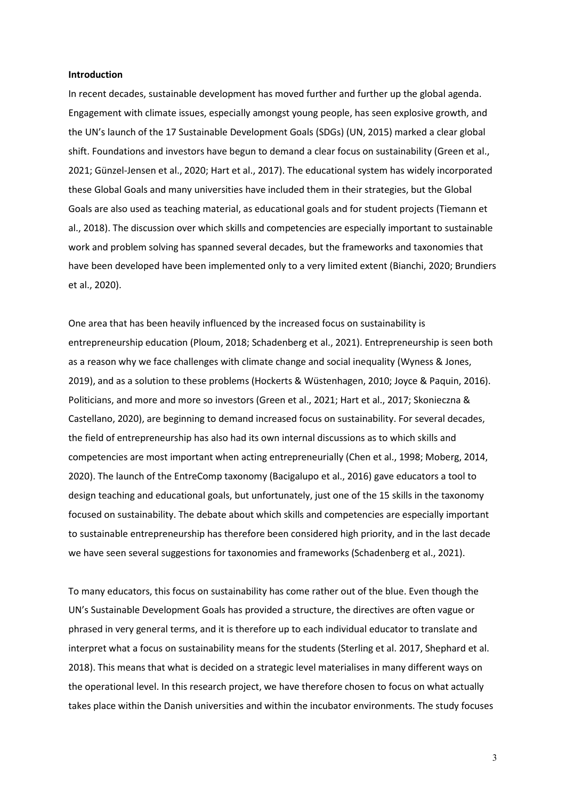### **Introduction**

In recent decades, sustainable development has moved further and further up the global agenda. Engagement with climate issues, especially amongst young people, has seen explosive growth, and the UN's launch of the 17 Sustainable Development Goals (SDGs) (UN, 2015) marked a clear global shift. Foundations and investors have begun to demand a clear focus on sustainability (Green et al., 2021; Günzel-Jensen et al., 2020; Hart et al., 2017). The educational system has widely incorporated these Global Goals and many universities have included them in their strategies, but the Global Goals are also used as teaching material, as educational goals and for student projects (Tiemann et al., 2018). The discussion over which skills and competencies are especially important to sustainable work and problem solving has spanned several decades, but the frameworks and taxonomies that have been developed have been implemented only to a very limited extent (Bianchi, 2020; Brundiers et al., 2020).

One area that has been heavily influenced by the increased focus on sustainability is entrepreneurship education (Ploum, 2018; Schadenberg et al., 2021). Entrepreneurship is seen both as a reason why we face challenges with climate change and social inequality (Wyness & Jones, 2019), and as a solution to these problems (Hockerts & Wüstenhagen, 2010; Joyce & Paquin, 2016). Politicians, and more and more so investors (Green et al., 2021; Hart et al., 2017; Skonieczna & Castellano, 2020), are beginning to demand increased focus on sustainability. For several decades, the field of entrepreneurship has also had its own internal discussions as to which skills and competencies are most important when acting entrepreneurially (Chen et al., 1998; Moberg, 2014, 2020). The launch of the EntreComp taxonomy (Bacigalupo et al., 2016) gave educators a tool to design teaching and educational goals, but unfortunately, just one of the 15 skills in the taxonomy focused on sustainability. The debate about which skills and competencies are especially important to sustainable entrepreneurship has therefore been considered high priority, and in the last decade we have seen several suggestions for taxonomies and frameworks (Schadenberg et al., 2021).

To many educators, this focus on sustainability has come rather out of the blue. Even though the UN's Sustainable Development Goals has provided a structure, the directives are often vague or phrased in very general terms, and it is therefore up to each individual educator to translate and interpret what a focus on sustainability means for the students (Sterling et al. 2017, Shephard et al. 2018). This means that what is decided on a strategic level materialises in many different ways on the operational level. In this research project, we have therefore chosen to focus on what actually takes place within the Danish universities and within the incubator environments. The study focuses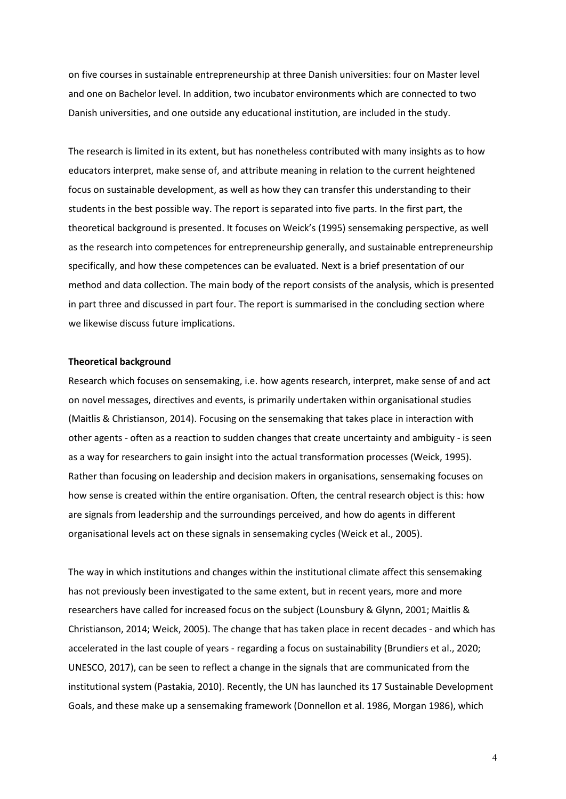on five courses in sustainable entrepreneurship at three Danish universities: four on Master level and one on Bachelor level. In addition, two incubator environments which are connected to two Danish universities, and one outside any educational institution, are included in the study.

The research is limited in its extent, but has nonetheless contributed with many insights as to how educators interpret, make sense of, and attribute meaning in relation to the current heightened focus on sustainable development, as well as how they can transfer this understanding to their students in the best possible way. The report is separated into five parts. In the first part, the theoretical background is presented. It focuses on Weick's (1995) sensemaking perspective, as well as the research into competences for entrepreneurship generally, and sustainable entrepreneurship specifically, and how these competences can be evaluated. Next is a brief presentation of our method and data collection. The main body of the report consists of the analysis, which is presented in part three and discussed in part four. The report is summarised in the concluding section where we likewise discuss future implications.

### **Theoretical background**

Research which focuses on sensemaking, i.e. how agents research, interpret, make sense of and act on novel messages, directives and events, is primarily undertaken within organisational studies (Maitlis & Christianson, 2014). Focusing on the sensemaking that takes place in interaction with other agents - often as a reaction to sudden changes that create uncertainty and ambiguity - is seen as a way for researchers to gain insight into the actual transformation processes (Weick, 1995). Rather than focusing on leadership and decision makers in organisations, sensemaking focuses on how sense is created within the entire organisation. Often, the central research object is this: how are signals from leadership and the surroundings perceived, and how do agents in different organisational levels act on these signals in sensemaking cycles (Weick et al., 2005).

The way in which institutions and changes within the institutional climate affect this sensemaking has not previously been investigated to the same extent, but in recent years, more and more researchers have called for increased focus on the subject (Lounsbury & Glynn, 2001; Maitlis & Christianson, 2014; Weick, 2005). The change that has taken place in recent decades - and which has accelerated in the last couple of years - regarding a focus on sustainability (Brundiers et al., 2020; UNESCO, 2017), can be seen to reflect a change in the signals that are communicated from the institutional system (Pastakia, 2010). Recently, the UN has launched its 17 Sustainable Development Goals, and these make up a sensemaking framework (Donnellon et al. 1986, Morgan 1986), which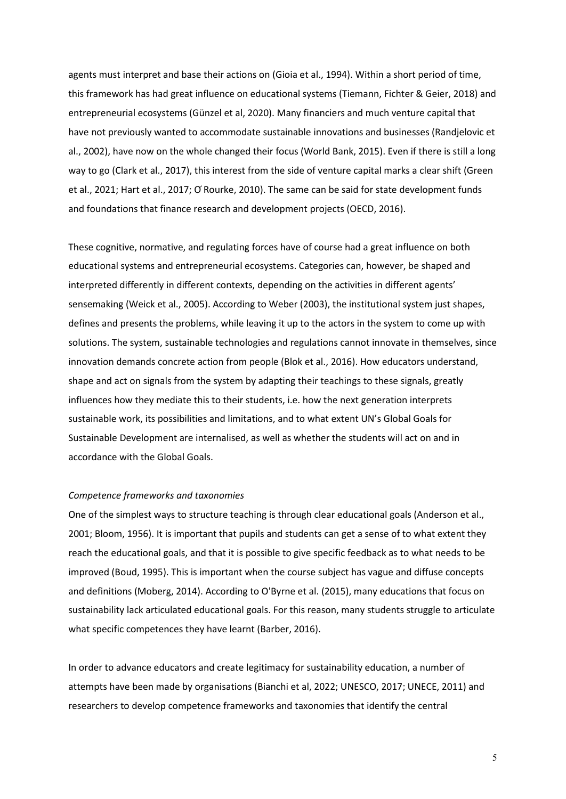agents must interpret and base their actions on (Gioia et al., 1994). Within a short period of time, this framework has had great influence on educational systems (Tiemann, Fichter & Geier, 2018) and entrepreneurial ecosystems (Günzel et al, 2020). Many financiers and much venture capital that have not previously wanted to accommodate sustainable innovations and businesses (Randjelovic et al., 2002), have now on the whole changed their focus (World Bank, 2015). Even if there is still a long way to go (Clark et al., 2017), this interest from the side of venture capital marks a clear shift (Green et al., 2021; Hart et al., 2017; O ́Rourke, 2010). The same can be said for state development funds and foundations that finance research and development projects (OECD, 2016).

These cognitive, normative, and regulating forces have of course had a great influence on both educational systems and entrepreneurial ecosystems. Categories can, however, be shaped and interpreted differently in different contexts, depending on the activities in different agents' sensemaking (Weick et al., 2005). According to Weber (2003), the institutional system just shapes, defines and presents the problems, while leaving it up to the actors in the system to come up with solutions. The system, sustainable technologies and regulations cannot innovate in themselves, since innovation demands concrete action from people (Blok et al., 2016). How educators understand, shape and act on signals from the system by adapting their teachings to these signals, greatly influences how they mediate this to their students, i.e. how the next generation interprets sustainable work, its possibilities and limitations, and to what extent UN's Global Goals for Sustainable Development are internalised, as well as whether the students will act on and in accordance with the Global Goals.

### *Competence frameworks and taxonomies*

One of the simplest ways to structure teaching is through clear educational goals (Anderson et al., 2001; Bloom, 1956). It is important that pupils and students can get a sense of to what extent they reach the educational goals, and that it is possible to give specific feedback as to what needs to be improved (Boud, 1995). This is important when the course subject has vague and diffuse concepts and definitions (Moberg, 2014). According to O'Byrne et al. (2015), many educations that focus on sustainability lack articulated educational goals. For this reason, many students struggle to articulate what specific competences they have learnt (Barber, 2016).

In order to advance educators and create legitimacy for sustainability education, a number of attempts have been made by organisations (Bianchi et al, 2022; UNESCO, 2017; UNECE, 2011) and researchers to develop competence frameworks and taxonomies that identify the central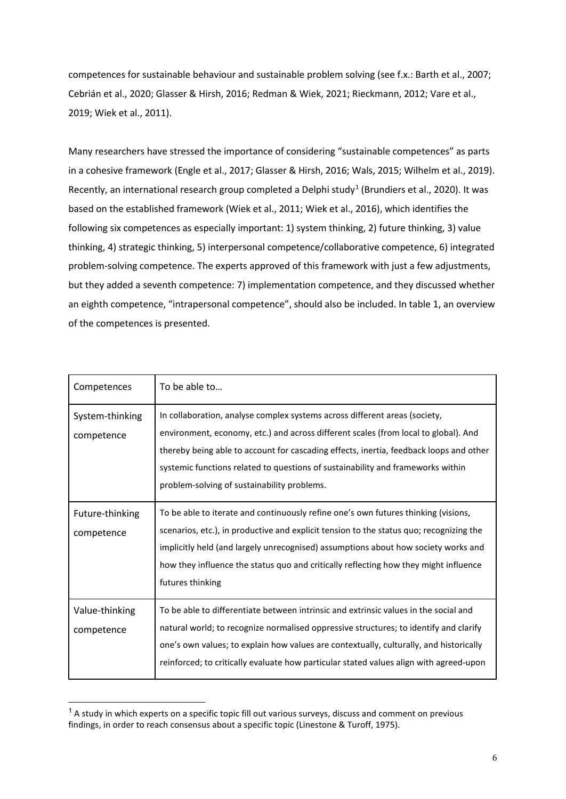competences for sustainable behaviour and sustainable problem solving (see f.x.: Barth et al., 2007; Cebrián et al., 2020; Glasser & Hirsh, 2016; Redman & Wiek, 2021; Rieckmann, 2012; Vare et al., 2019; Wiek et al., 2011).

Many researchers have stressed the importance of considering "sustainable competences" as parts in a cohesive framework (Engle et al., 2017; Glasser & Hirsh, 2016; Wals, 2015; Wilhelm et al., 2019). Recently, an international research group completed a Delphi study<sup>[1](#page-6-0)</sup> (Brundiers et al., 2020). It was based on the established framework (Wiek et al., 2011; Wiek et al., 2016), which identifies the following six competences as especially important: 1) system thinking, 2) future thinking, 3) value thinking, 4) strategic thinking, 5) interpersonal competence/collaborative competence, 6) integrated problem-solving competence. The experts approved of this framework with just a few adjustments, but they added a seventh competence: 7) implementation competence, and they discussed whether an eighth competence, "intrapersonal competence", should also be included. In table 1, an overview of the competences is presented.

| Competences                   | To be able to                                                                                                                                                                                                                                                                                                                                                                                 |
|-------------------------------|-----------------------------------------------------------------------------------------------------------------------------------------------------------------------------------------------------------------------------------------------------------------------------------------------------------------------------------------------------------------------------------------------|
| System-thinking<br>competence | In collaboration, analyse complex systems across different areas (society,<br>environment, economy, etc.) and across different scales (from local to global). And<br>thereby being able to account for cascading effects, inertia, feedback loops and other<br>systemic functions related to questions of sustainability and frameworks within<br>problem-solving of sustainability problems. |
| Future-thinking<br>competence | To be able to iterate and continuously refine one's own futures thinking (visions,<br>scenarios, etc.), in productive and explicit tension to the status quo; recognizing the<br>implicitly held (and largely unrecognised) assumptions about how society works and<br>how they influence the status quo and critically reflecting how they might influence<br>futures thinking               |
| Value-thinking<br>competence  | To be able to differentiate between intrinsic and extrinsic values in the social and<br>natural world; to recognize normalised oppressive structures; to identify and clarify<br>one's own values; to explain how values are contextually, culturally, and historically<br>reinforced; to critically evaluate how particular stated values align with agreed-upon                             |

<span id="page-6-0"></span> $<sup>1</sup>$  A study in which experts on a specific topic fill out various surveys, discuss and comment on previous</sup> findings, in order to reach consensus about a specific topic (Linestone & Turoff, 1975).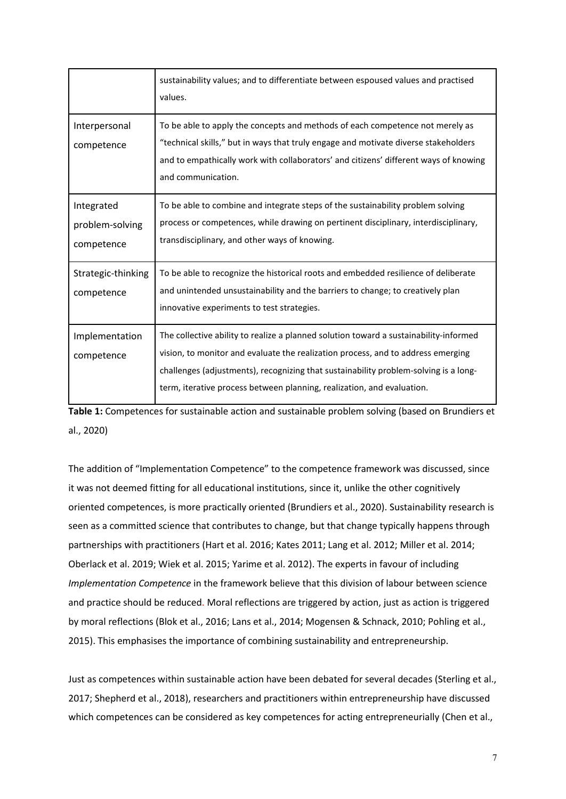|                                             | sustainability values; and to differentiate between espoused values and practised<br>values.                                                                                                                                                                                                                                                |
|---------------------------------------------|---------------------------------------------------------------------------------------------------------------------------------------------------------------------------------------------------------------------------------------------------------------------------------------------------------------------------------------------|
| Interpersonal<br>competence                 | To be able to apply the concepts and methods of each competence not merely as<br>"technical skills," but in ways that truly engage and motivate diverse stakeholders<br>and to empathically work with collaborators' and citizens' different ways of knowing<br>and communication.                                                          |
| Integrated<br>problem-solving<br>competence | To be able to combine and integrate steps of the sustainability problem solving<br>process or competences, while drawing on pertinent disciplinary, interdisciplinary,<br>transdisciplinary, and other ways of knowing.                                                                                                                     |
| Strategic-thinking<br>competence            | To be able to recognize the historical roots and embedded resilience of deliberate<br>and unintended unsustainability and the barriers to change; to creatively plan<br>innovative experiments to test strategies.                                                                                                                          |
| Implementation<br>competence                | The collective ability to realize a planned solution toward a sustainability-informed<br>vision, to monitor and evaluate the realization process, and to address emerging<br>challenges (adjustments), recognizing that sustainability problem-solving is a long-<br>term, iterative process between planning, realization, and evaluation. |

**Table 1:** Competences for sustainable action and sustainable problem solving (based on Brundiers et al., 2020)

The addition of "Implementation Competence" to the competence framework was discussed, since it was not deemed fitting for all educational institutions, since it, unlike the other cognitively oriented competences, is more practically oriented (Brundiers et al., 2020). Sustainability research is seen as a committed science that contributes to change, but that change typically happens through partnerships with practitioners (Hart et al. 2016; Kates 2011; Lang et al. 2012; Miller et al. 2014; Oberlack et al. 2019; Wiek et al. 2015; Yarime et al. 2012). The experts in favour of including *Implementation Competence* in the framework believe that this division of labour between science and practice should be reduced. Moral reflections are triggered by action, just as action is triggered by moral reflections (Blok et al., 2016; Lans et al., 2014; Mogensen & Schnack, 2010; Pohling et al., 2015). This emphasises the importance of combining sustainability and entrepreneurship.

Just as competences within sustainable action have been debated for several decades (Sterling et al., 2017; Shepherd et al., 2018), researchers and practitioners within entrepreneurship have discussed which competences can be considered as key competences for acting entrepreneurially (Chen et al.,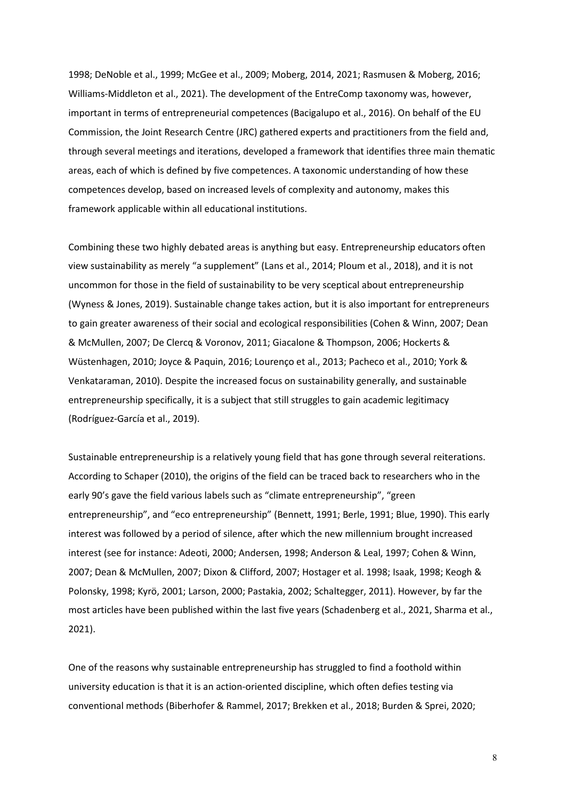1998; DeNoble et al., 1999; McGee et al., 2009; Moberg, 2014, 2021; Rasmusen & Moberg, 2016; Williams-Middleton et al., 2021). The development of the EntreComp taxonomy was, however, important in terms of entrepreneurial competences (Bacigalupo et al., 2016). On behalf of the EU Commission, the Joint Research Centre (JRC) gathered experts and practitioners from the field and, through several meetings and iterations, developed a framework that identifies three main thematic areas, each of which is defined by five competences. A taxonomic understanding of how these competences develop, based on increased levels of complexity and autonomy, makes this framework applicable within all educational institutions.

Combining these two highly debated areas is anything but easy. Entrepreneurship educators often view sustainability as merely "a supplement" (Lans et al., 2014; Ploum et al., 2018), and it is not uncommon for those in the field of sustainability to be very sceptical about entrepreneurship (Wyness & Jones, 2019). Sustainable change takes action, but it is also important for entrepreneurs to gain greater awareness of their social and ecological responsibilities (Cohen & Winn, 2007; Dean & McMullen, 2007; De Clercq & Voronov, 2011; Giacalone & Thompson, 2006; Hockerts & Wüstenhagen, 2010; Joyce & Paquin, 2016; Lourenço et al., 2013; Pacheco et al., 2010; York & Venkataraman, 2010). Despite the increased focus on sustainability generally, and sustainable entrepreneurship specifically, it is a subject that still struggles to gain academic legitimacy (Rodríguez-García et al., 2019).

Sustainable entrepreneurship is a relatively young field that has gone through several reiterations. According to Schaper (2010), the origins of the field can be traced back to researchers who in the early 90's gave the field various labels such as "climate entrepreneurship", "green entrepreneurship", and "eco entrepreneurship" (Bennett, 1991; Berle, 1991; Blue, 1990). This early interest was followed by a period of silence, after which the new millennium brought increased interest (see for instance: Adeoti, 2000; Andersen, 1998; Anderson & Leal, 1997; Cohen & Winn, 2007; Dean & McMullen, 2007; Dixon & Clifford, 2007; Hostager et al. 1998; Isaak, 1998; Keogh & Polonsky, 1998; Kyrö, 2001; Larson, 2000; Pastakia, 2002; Schaltegger, 2011). However, by far the most articles have been published within the last five years (Schadenberg et al., 2021, Sharma et al., 2021).

One of the reasons why sustainable entrepreneurship has struggled to find a foothold within university education is that it is an action-oriented discipline, which often defies testing via conventional methods (Biberhofer & Rammel, 2017; Brekken et al., 2018; Burden & Sprei, 2020;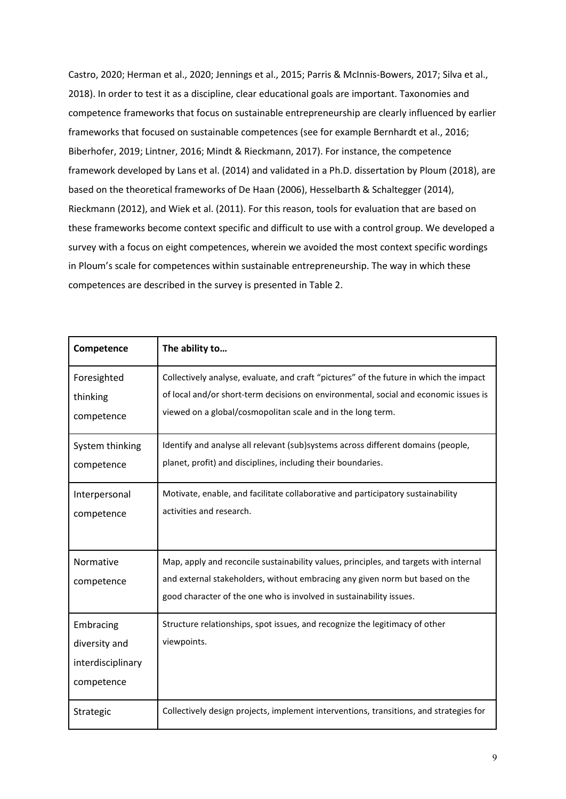Castro, 2020; Herman et al., 2020; Jennings et al., 2015; Parris & McInnis-Bowers, 2017; Silva et al., 2018). In order to test it as a discipline, clear educational goals are important. Taxonomies and competence frameworks that focus on sustainable entrepreneurship are clearly influenced by earlier frameworks that focused on sustainable competences (see for example Bernhardt et al., 2016; Biberhofer, 2019; Lintner, 2016; Mindt & Rieckmann, 2017). For instance, the competence framework developed by Lans et al. (2014) and validated in a Ph.D. dissertation by Ploum (2018), are based on the theoretical frameworks of De Haan (2006), Hesselbarth & Schaltegger (2014), Rieckmann (2012), and Wiek et al. (2011). For this reason, tools for evaluation that are based on these frameworks become context specific and difficult to use with a control group. We developed a survey with a focus on eight competences, wherein we avoided the most context specific wordings in Ploum's scale for competences within sustainable entrepreneurship. The way in which these competences are described in the survey is presented in Table 2.

| Competence                                                    | The ability to                                                                                                                                                                                                                                |
|---------------------------------------------------------------|-----------------------------------------------------------------------------------------------------------------------------------------------------------------------------------------------------------------------------------------------|
| Foresighted<br>thinking<br>competence                         | Collectively analyse, evaluate, and craft "pictures" of the future in which the impact<br>of local and/or short-term decisions on environmental, social and economic issues is<br>viewed on a global/cosmopolitan scale and in the long term. |
| System thinking<br>competence                                 | Identify and analyse all relevant (sub)systems across different domains (people,<br>planet, profit) and disciplines, including their boundaries.                                                                                              |
| Interpersonal<br>competence                                   | Motivate, enable, and facilitate collaborative and participatory sustainability<br>activities and research.                                                                                                                                   |
| Normative<br>competence                                       | Map, apply and reconcile sustainability values, principles, and targets with internal<br>and external stakeholders, without embracing any given norm but based on the<br>good character of the one who is involved in sustainability issues.  |
| Embracing<br>diversity and<br>interdisciplinary<br>competence | Structure relationships, spot issues, and recognize the legitimacy of other<br>viewpoints.                                                                                                                                                    |
| Strategic                                                     | Collectively design projects, implement interventions, transitions, and strategies for                                                                                                                                                        |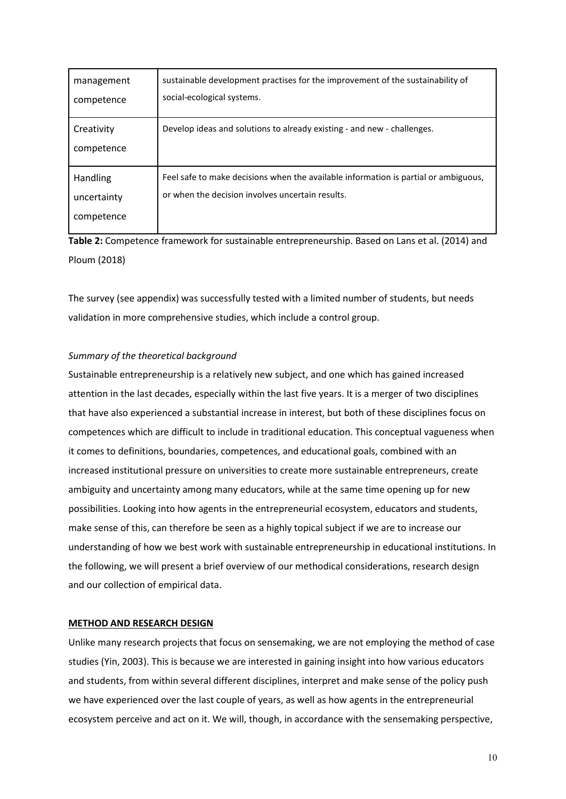| management<br>competence              | sustainable development practises for the improvement of the sustainability of<br>social-ecological systems.                            |
|---------------------------------------|-----------------------------------------------------------------------------------------------------------------------------------------|
| Creativity<br>competence              | Develop ideas and solutions to already existing - and new - challenges.                                                                 |
| Handling<br>uncertainty<br>competence | Feel safe to make decisions when the available information is partial or ambiguous,<br>or when the decision involves uncertain results. |

**Table 2:** Competence framework for sustainable entrepreneurship. Based on Lans et al. (2014) and Ploum (2018)

The survey (see appendix) was successfully tested with a limited number of students, but needs validation in more comprehensive studies, which include a control group.

# *Summary of the theoretical background*

Sustainable entrepreneurship is a relatively new subject, and one which has gained increased attention in the last decades, especially within the last five years. It is a merger of two disciplines that have also experienced a substantial increase in interest, but both of these disciplines focus on competences which are difficult to include in traditional education. This conceptual vagueness when it comes to definitions, boundaries, competences, and educational goals, combined with an increased institutional pressure on universities to create more sustainable entrepreneurs, create ambiguity and uncertainty among many educators, while at the same time opening up for new possibilities. Looking into how agents in the entrepreneurial ecosystem, educators and students, make sense of this, can therefore be seen as a highly topical subject if we are to increase our understanding of how we best work with sustainable entrepreneurship in educational institutions. In the following, we will present a brief overview of our methodical considerations, research design and our collection of empirical data.

# **METHOD AND RESEARCH DESIGN**

Unlike many research projects that focus on sensemaking, we are not employing the method of case studies (Yin, 2003). This is because we are interested in gaining insight into how various educators and students, from within several different disciplines, interpret and make sense of the policy push we have experienced over the last couple of years, as well as how agents in the entrepreneurial ecosystem perceive and act on it. We will, though, in accordance with the sensemaking perspective,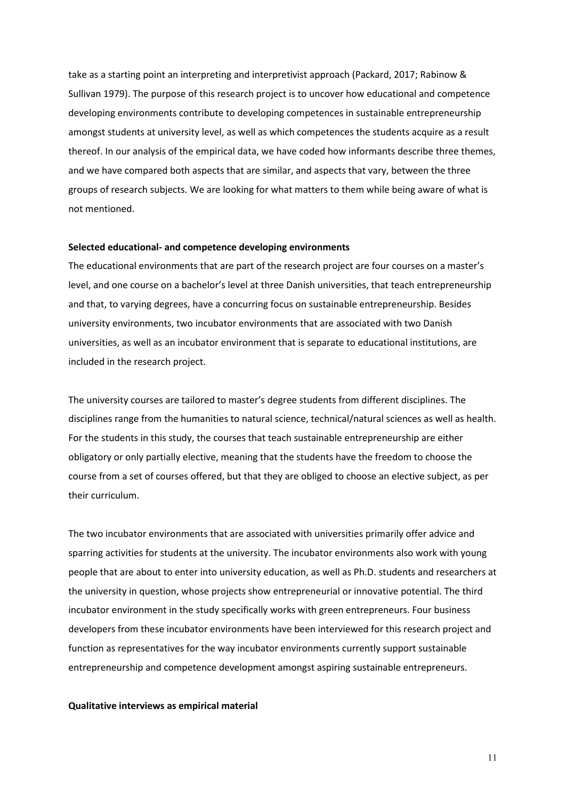take as a starting point an interpreting and interpretivist approach (Packard, 2017; Rabinow & Sullivan 1979). The purpose of this research project is to uncover how educational and competence developing environments contribute to developing competences in sustainable entrepreneurship amongst students at university level, as well as which competences the students acquire as a result thereof. In our analysis of the empirical data, we have coded how informants describe three themes, and we have compared both aspects that are similar, and aspects that vary, between the three groups of research subjects. We are looking for what matters to them while being aware of what is not mentioned.

### **Selected educational- and competence developing environments**

The educational environments that are part of the research project are four courses on a master's level, and one course on a bachelor's level at three Danish universities, that teach entrepreneurship and that, to varying degrees, have a concurring focus on sustainable entrepreneurship. Besides university environments, two incubator environments that are associated with two Danish universities, as well as an incubator environment that is separate to educational institutions, are included in the research project.

The university courses are tailored to master's degree students from different disciplines. The disciplines range from the humanities to natural science, technical/natural sciences as well as health. For the students in this study, the courses that teach sustainable entrepreneurship are either obligatory or only partially elective, meaning that the students have the freedom to choose the course from a set of courses offered, but that they are obliged to choose an elective subject, as per their curriculum.

The two incubator environments that are associated with universities primarily offer advice and sparring activities for students at the university. The incubator environments also work with young people that are about to enter into university education, as well as Ph.D. students and researchers at the university in question, whose projects show entrepreneurial or innovative potential. The third incubator environment in the study specifically works with green entrepreneurs. Four business developers from these incubator environments have been interviewed for this research project and function as representatives for the way incubator environments currently support sustainable entrepreneurship and competence development amongst aspiring sustainable entrepreneurs.

### **Qualitative interviews as empirical material**

11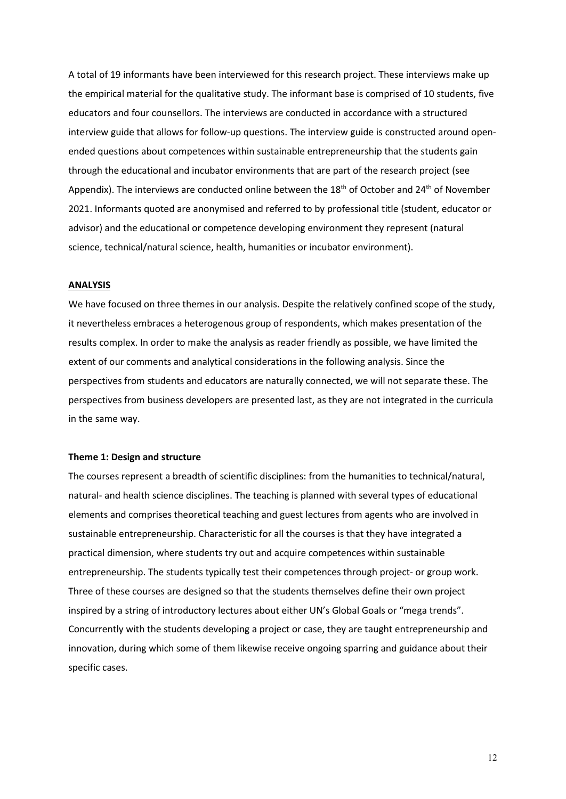A total of 19 informants have been interviewed for this research project. These interviews make up the empirical material for the qualitative study. The informant base is comprised of 10 students, five educators and four counsellors. The interviews are conducted in accordance with a structured interview guide that allows for follow-up questions. The interview guide is constructed around openended questions about competences within sustainable entrepreneurship that the students gain through the educational and incubator environments that are part of the research project (see Appendix). The interviews are conducted online between the  $18<sup>th</sup>$  of October and  $24<sup>th</sup>$  of November 2021. Informants quoted are anonymised and referred to by professional title (student, educator or advisor) and the educational or competence developing environment they represent (natural science, technical/natural science, health, humanities or incubator environment).

# **ANALYSIS**

We have focused on three themes in our analysis. Despite the relatively confined scope of the study, it nevertheless embraces a heterogenous group of respondents, which makes presentation of the results complex. In order to make the analysis as reader friendly as possible, we have limited the extent of our comments and analytical considerations in the following analysis. Since the perspectives from students and educators are naturally connected, we will not separate these. The perspectives from business developers are presented last, as they are not integrated in the curricula in the same way.

### **Theme 1: Design and structure**

The courses represent a breadth of scientific disciplines: from the humanities to technical/natural, natural- and health science disciplines. The teaching is planned with several types of educational elements and comprises theoretical teaching and guest lectures from agents who are involved in sustainable entrepreneurship. Characteristic for all the courses is that they have integrated a practical dimension, where students try out and acquire competences within sustainable entrepreneurship. The students typically test their competences through project- or group work. Three of these courses are designed so that the students themselves define their own project inspired by a string of introductory lectures about either UN's Global Goals or "mega trends". Concurrently with the students developing a project or case, they are taught entrepreneurship and innovation, during which some of them likewise receive ongoing sparring and guidance about their specific cases.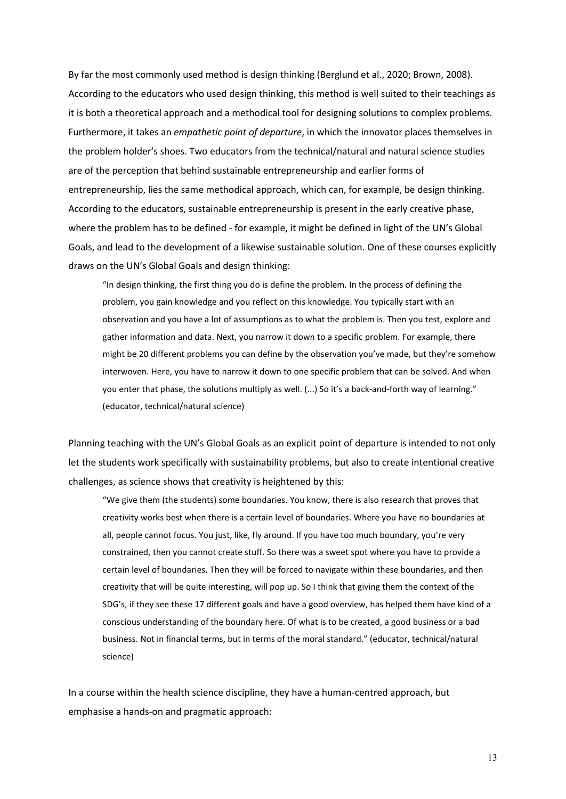By far the most commonly used method is design thinking (Berglund et al., 2020; Brown, 2008). According to the educators who used design thinking, this method is well suited to their teachings as it is both a theoretical approach and a methodical tool for designing solutions to complex problems. Furthermore, it takes an *empathetic point of departure*, in which the innovator places themselves in the problem holder's shoes. Two educators from the technical/natural and natural science studies are of the perception that behind sustainable entrepreneurship and earlier forms of entrepreneurship, lies the same methodical approach, which can, for example, be design thinking. According to the educators, sustainable entrepreneurship is present in the early creative phase, where the problem has to be defined - for example, it might be defined in light of the UN's Global Goals, and lead to the development of a likewise sustainable solution. One of these courses explicitly draws on the UN's Global Goals and design thinking:

"In design thinking, the first thing you do is define the problem. In the process of defining the problem, you gain knowledge and you reflect on this knowledge. You typically start with an observation and you have a lot of assumptions as to what the problem is. Then you test, explore and gather information and data. Next, you narrow it down to a specific problem. For example, there might be 20 different problems you can define by the observation you've made, but they're somehow interwoven. Here, you have to narrow it down to one specific problem that can be solved. And when you enter that phase, the solutions multiply as well. (...) So it's a back-and-forth way of learning." (educator, technical/natural science)

Planning teaching with the UN's Global Goals as an explicit point of departure is intended to not only let the students work specifically with sustainability problems, but also to create intentional creative challenges, as science shows that creativity is heightened by this:

"We give them (the students) some boundaries. You know, there is also research that proves that creativity works best when there is a certain level of boundaries. Where you have no boundaries at all, people cannot focus. You just, like, fly around. If you have too much boundary, you're very constrained, then you cannot create stuff. So there was a sweet spot where you have to provide a certain level of boundaries. Then they will be forced to navigate within these boundaries, and then creativity that will be quite interesting, will pop up. So I think that giving them the context of the SDG's, if they see these 17 different goals and have a good overview, has helped them have kind of a conscious understanding of the boundary here. Of what is to be created, a good business or a bad business. Not in financial terms, but in terms of the moral standard." (educator, technical/natural science)

In a course within the health science discipline, they have a human-centred approach, but emphasise a hands-on and pragmatic approach: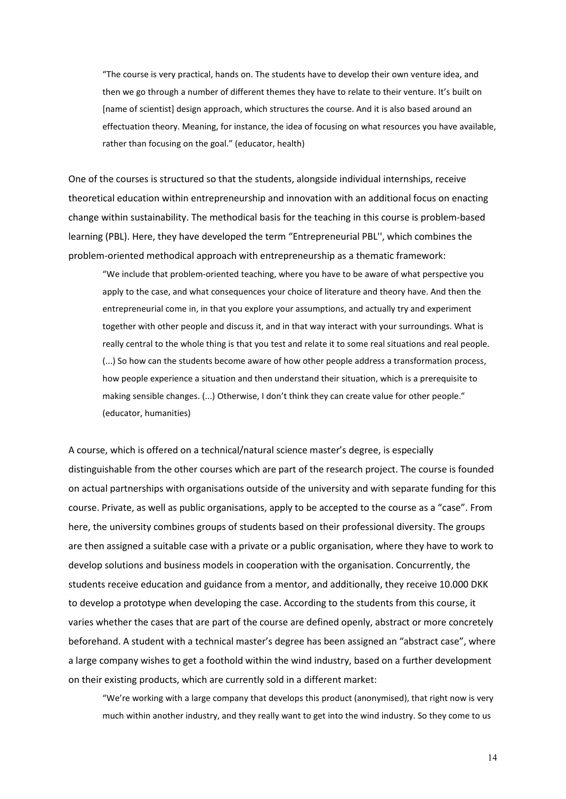"The course is very practical, hands on. The students have to develop their own venture idea, and then we go through a number of different themes they have to relate to their venture. It's built on [name of scientist] design approach, which structures the course. And it is also based around an effectuation theory. Meaning, for instance, the idea of focusing on what resources you have available, rather than focusing on the goal." (educator, health)

One of the courses is structured so that the students, alongside individual internships, receive theoretical education within entrepreneurship and innovation with an additional focus on enacting change within sustainability. The methodical basis for the teaching in this course is problem-based learning (PBL). Here, they have developed the term "Entrepreneurial PBL'', which combines the problem-oriented methodical approach with entrepreneurship as a thematic framework:

"We include that problem-oriented teaching, where you have to be aware of what perspective you apply to the case, and what consequences your choice of literature and theory have. And then the entrepreneurial come in, in that you explore your assumptions, and actually try and experiment together with other people and discuss it, and in that way interact with your surroundings. What is really central to the whole thing is that you test and relate it to some real situations and real people. (...) So how can the students become aware of how other people address a transformation process, how people experience a situation and then understand their situation, which is a prerequisite to making sensible changes. (...) Otherwise, I don't think they can create value for other people." (educator, humanities)

A course, which is offered on a technical/natural science master's degree, is especially distinguishable from the other courses which are part of the research project. The course is founded on actual partnerships with organisations outside of the university and with separate funding for this course. Private, as well as public organisations, apply to be accepted to the course as a "case". From here, the university combines groups of students based on their professional diversity. The groups are then assigned a suitable case with a private or a public organisation, where they have to work to develop solutions and business models in cooperation with the organisation. Concurrently, the students receive education and guidance from a mentor, and additionally, they receive 10.000 DKK to develop a prototype when developing the case. According to the students from this course, it varies whether the cases that are part of the course are defined openly, abstract or more concretely beforehand. A student with a technical master's degree has been assigned an "abstract case", where a large company wishes to get a foothold within the wind industry, based on a further development on their existing products, which are currently sold in a different market:

"We're working with a large company that develops this product (anonymised), that right now is very much within another industry, and they really want to get into the wind industry. So they come to us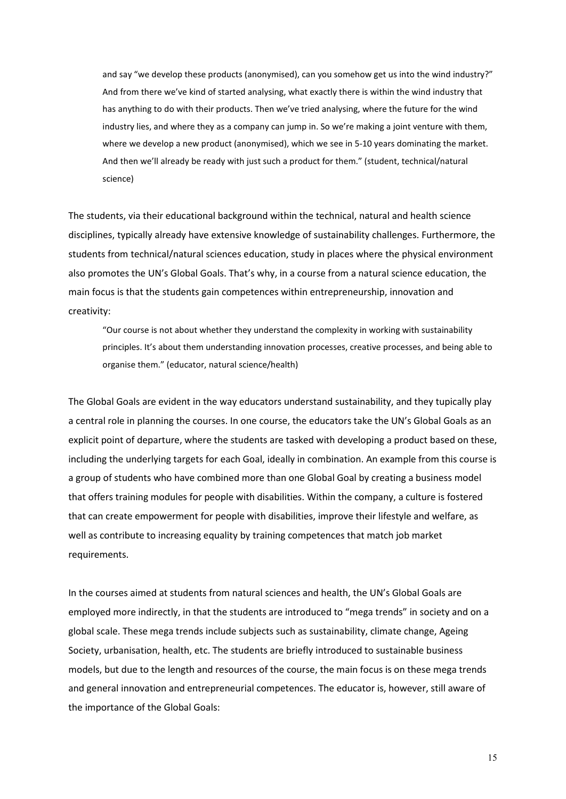and say "we develop these products (anonymised), can you somehow get us into the wind industry?" And from there we've kind of started analysing, what exactly there is within the wind industry that has anything to do with their products. Then we've tried analysing, where the future for the wind industry lies, and where they as a company can jump in. So we're making a joint venture with them, where we develop a new product (anonymised), which we see in 5-10 years dominating the market. And then we'll already be ready with just such a product for them." (student, technical/natural science)

The students, via their educational background within the technical, natural and health science disciplines, typically already have extensive knowledge of sustainability challenges. Furthermore, the students from technical/natural sciences education, study in places where the physical environment also promotes the UN's Global Goals. That's why, in a course from a natural science education, the main focus is that the students gain competences within entrepreneurship, innovation and creativity:

"Our course is not about whether they understand the complexity in working with sustainability principles. It's about them understanding innovation processes, creative processes, and being able to organise them." (educator, natural science/health)

The Global Goals are evident in the way educators understand sustainability, and they tupically play a central role in planning the courses. In one course, the educators take the UN's Global Goals as an explicit point of departure, where the students are tasked with developing a product based on these, including the underlying targets for each Goal, ideally in combination. An example from this course is a group of students who have combined more than one Global Goal by creating a business model that offers training modules for people with disabilities. Within the company, a culture is fostered that can create empowerment for people with disabilities, improve their lifestyle and welfare, as well as contribute to increasing equality by training competences that match job market requirements.

In the courses aimed at students from natural sciences and health, the UN's Global Goals are employed more indirectly, in that the students are introduced to "mega trends" in society and on a global scale. These mega trends include subjects such as sustainability, climate change, Ageing Society, urbanisation, health, etc. The students are briefly introduced to sustainable business models, but due to the length and resources of the course, the main focus is on these mega trends and general innovation and entrepreneurial competences. The educator is, however, still aware of the importance of the Global Goals: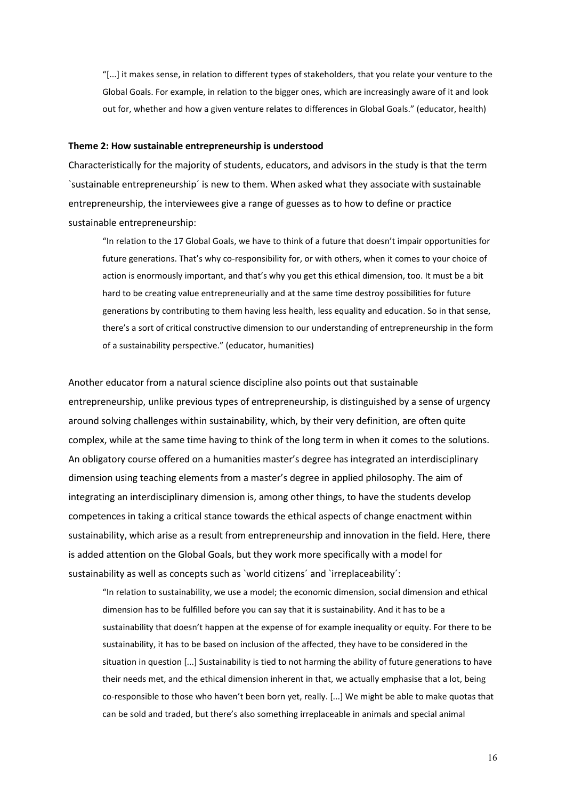"[...] it makes sense, in relation to different types of stakeholders, that you relate your venture to the Global Goals. For example, in relation to the bigger ones, which are increasingly aware of it and look out for, whether and how a given venture relates to differences in Global Goals." (educator, health)

### **Theme 2: How sustainable entrepreneurship is understood**

Characteristically for the majority of students, educators, and advisors in the study is that the term `sustainable entrepreneurship´ is new to them. When asked what they associate with sustainable entrepreneurship, the interviewees give a range of guesses as to how to define or practice sustainable entrepreneurship:

"In relation to the 17 Global Goals, we have to think of a future that doesn't impair opportunities for future generations. That's why co-responsibility for, or with others, when it comes to your choice of action is enormously important, and that's why you get this ethical dimension, too. It must be a bit hard to be creating value entrepreneurially and at the same time destroy possibilities for future generations by contributing to them having less health, less equality and education. So in that sense, there's a sort of critical constructive dimension to our understanding of entrepreneurship in the form of a sustainability perspective." (educator, humanities)

Another educator from a natural science discipline also points out that sustainable entrepreneurship, unlike previous types of entrepreneurship, is distinguished by a sense of urgency around solving challenges within sustainability, which, by their very definition, are often quite complex, while at the same time having to think of the long term in when it comes to the solutions. An obligatory course offered on a humanities master's degree has integrated an interdisciplinary dimension using teaching elements from a master's degree in applied philosophy. The aim of integrating an interdisciplinary dimension is, among other things, to have the students develop competences in taking a critical stance towards the ethical aspects of change enactment within sustainability, which arise as a result from entrepreneurship and innovation in the field. Here, there is added attention on the Global Goals, but they work more specifically with a model for sustainability as well as concepts such as `world citizens´ and `irreplaceability':

"In relation to sustainability, we use a model; the economic dimension, social dimension and ethical dimension has to be fulfilled before you can say that it is sustainability. And it has to be a sustainability that doesn't happen at the expense of for example inequality or equity. For there to be sustainability, it has to be based on inclusion of the affected, they have to be considered in the situation in question [...] Sustainability is tied to not harming the ability of future generations to have their needs met, and the ethical dimension inherent in that, we actually emphasise that a lot, being co-responsible to those who haven't been born yet, really. [...] We might be able to make quotas that can be sold and traded, but there's also something irreplaceable in animals and special animal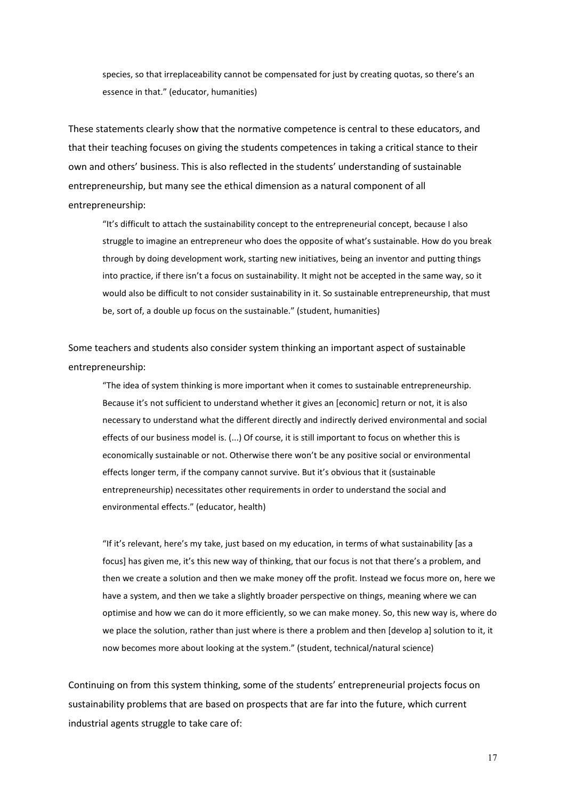species, so that irreplaceability cannot be compensated for just by creating quotas, so there's an essence in that." (educator, humanities)

These statements clearly show that the normative competence is central to these educators, and that their teaching focuses on giving the students competences in taking a critical stance to their own and others' business. This is also reflected in the students' understanding of sustainable entrepreneurship, but many see the ethical dimension as a natural component of all entrepreneurship:

"It's difficult to attach the sustainability concept to the entrepreneurial concept, because I also struggle to imagine an entrepreneur who does the opposite of what's sustainable. How do you break through by doing development work, starting new initiatives, being an inventor and putting things into practice, if there isn't a focus on sustainability. It might not be accepted in the same way, so it would also be difficult to not consider sustainability in it. So sustainable entrepreneurship, that must be, sort of, a double up focus on the sustainable." (student, humanities)

Some teachers and students also consider system thinking an important aspect of sustainable entrepreneurship:

"The idea of system thinking is more important when it comes to sustainable entrepreneurship. Because it's not sufficient to understand whether it gives an [economic] return or not, it is also necessary to understand what the different directly and indirectly derived environmental and social effects of our business model is. (...) Of course, it is still important to focus on whether this is economically sustainable or not. Otherwise there won't be any positive social or environmental effects longer term, if the company cannot survive. But it's obvious that it (sustainable entrepreneurship) necessitates other requirements in order to understand the social and environmental effects." (educator, health)

"If it's relevant, here's my take, just based on my education, in terms of what sustainability [as a focus] has given me, it's this new way of thinking, that our focus is not that there's a problem, and then we create a solution and then we make money off the profit. Instead we focus more on, here we have a system, and then we take a slightly broader perspective on things, meaning where we can optimise and how we can do it more efficiently, so we can make money. So, this new way is, where do we place the solution, rather than just where is there a problem and then [develop a] solution to it, it now becomes more about looking at the system." (student, technical/natural science)

Continuing on from this system thinking, some of the students' entrepreneurial projects focus on sustainability problems that are based on prospects that are far into the future, which current industrial agents struggle to take care of: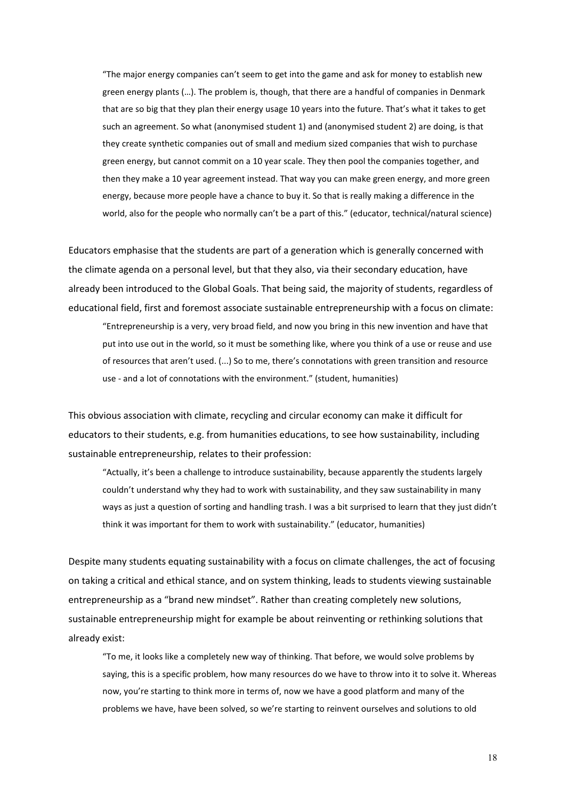"The major energy companies can't seem to get into the game and ask for money to establish new green energy plants (…). The problem is, though, that there are a handful of companies in Denmark that are so big that they plan their energy usage 10 years into the future. That's what it takes to get such an agreement. So what (anonymised student 1) and (anonymised student 2) are doing, is that they create synthetic companies out of small and medium sized companies that wish to purchase green energy, but cannot commit on a 10 year scale. They then pool the companies together, and then they make a 10 year agreement instead. That way you can make green energy, and more green energy, because more people have a chance to buy it. So that is really making a difference in the world, also for the people who normally can't be a part of this." (educator, technical/natural science)

Educators emphasise that the students are part of a generation which is generally concerned with the climate agenda on a personal level, but that they also, via their secondary education, have already been introduced to the Global Goals. That being said, the majority of students, regardless of educational field, first and foremost associate sustainable entrepreneurship with a focus on climate:

"Entrepreneurship is a very, very broad field, and now you bring in this new invention and have that put into use out in the world, so it must be something like, where you think of a use or reuse and use of resources that aren't used. (...) So to me, there's connotations with green transition and resource use - and a lot of connotations with the environment." (student, humanities)

This obvious association with climate, recycling and circular economy can make it difficult for educators to their students, e.g. from humanities educations, to see how sustainability, including sustainable entrepreneurship, relates to their profession:

"Actually, it's been a challenge to introduce sustainability, because apparently the students largely couldn't understand why they had to work with sustainability, and they saw sustainability in many ways as just a question of sorting and handling trash. I was a bit surprised to learn that they just didn't think it was important for them to work with sustainability." (educator, humanities)

Despite many students equating sustainability with a focus on climate challenges, the act of focusing on taking a critical and ethical stance, and on system thinking, leads to students viewing sustainable entrepreneurship as a "brand new mindset". Rather than creating completely new solutions, sustainable entrepreneurship might for example be about reinventing or rethinking solutions that already exist:

"To me, it looks like a completely new way of thinking. That before, we would solve problems by saying, this is a specific problem, how many resources do we have to throw into it to solve it. Whereas now, you're starting to think more in terms of, now we have a good platform and many of the problems we have, have been solved, so we're starting to reinvent ourselves and solutions to old

18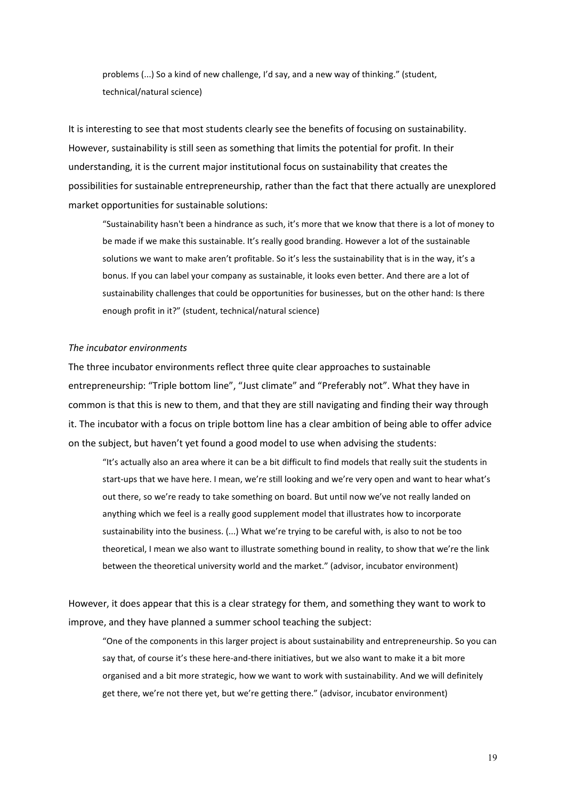problems (...) So a kind of new challenge, I'd say, and a new way of thinking." (student, technical/natural science)

It is interesting to see that most students clearly see the benefits of focusing on sustainability. However, sustainability is still seen as something that limits the potential for profit. In their understanding, it is the current major institutional focus on sustainability that creates the possibilities for sustainable entrepreneurship, rather than the fact that there actually are unexplored market opportunities for sustainable solutions:

"Sustainability hasn't been a hindrance as such, it's more that we know that there is a lot of money to be made if we make this sustainable. It's really good branding. However a lot of the sustainable solutions we want to make aren't profitable. So it's less the sustainability that is in the way, it's a bonus. If you can label your company as sustainable, it looks even better. And there are a lot of sustainability challenges that could be opportunities for businesses, but on the other hand: Is there enough profit in it?" (student, technical/natural science)

### *The incubator environments*

The three incubator environments reflect three quite clear approaches to sustainable entrepreneurship: "Triple bottom line", "Just climate" and "Preferably not". What they have in common is that this is new to them, and that they are still navigating and finding their way through it. The incubator with a focus on triple bottom line has a clear ambition of being able to offer advice on the subject, but haven't yet found a good model to use when advising the students:

"It's actually also an area where it can be a bit difficult to find models that really suit the students in start-ups that we have here. I mean, we're still looking and we're very open and want to hear what's out there, so we're ready to take something on board. But until now we've not really landed on anything which we feel is a really good supplement model that illustrates how to incorporate sustainability into the business. (...) What we're trying to be careful with, is also to not be too theoretical, I mean we also want to illustrate something bound in reality, to show that we're the link between the theoretical university world and the market." (advisor, incubator environment)

However, it does appear that this is a clear strategy for them, and something they want to work to improve, and they have planned a summer school teaching the subject:

"One of the components in this larger project is about sustainability and entrepreneurship. So you can say that, of course it's these here-and-there initiatives, but we also want to make it a bit more organised and a bit more strategic, how we want to work with sustainability. And we will definitely get there, we're not there yet, but we're getting there." (advisor, incubator environment)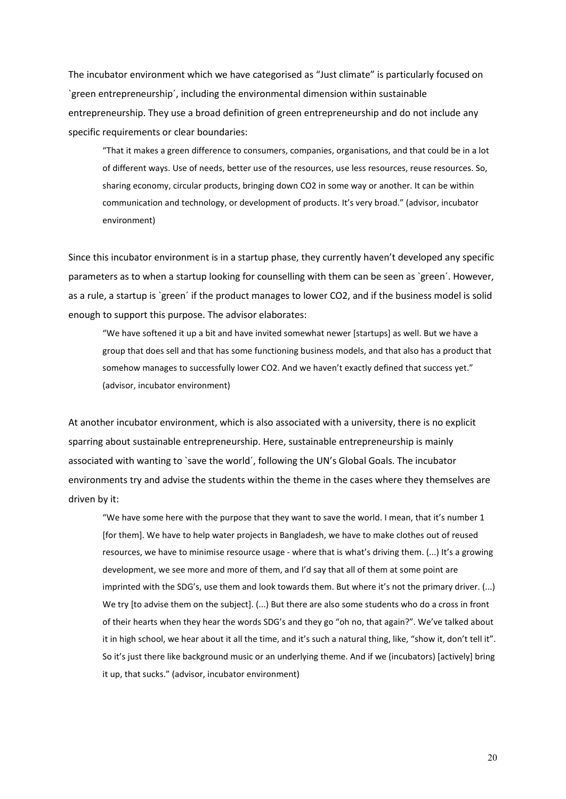The incubator environment which we have categorised as "Just climate" is particularly focused on `green entrepreneurship´, including the environmental dimension within sustainable entrepreneurship. They use a broad definition of green entrepreneurship and do not include any specific requirements or clear boundaries:

"That it makes a green difference to consumers, companies, organisations, and that could be in a lot of different ways. Use of needs, better use of the resources, use less resources, reuse resources. So, sharing economy, circular products, bringing down CO2 in some way or another. It can be within communication and technology, or development of products. It's very broad." (advisor, incubator environment)

Since this incubator environment is in a startup phase, they currently haven't developed any specific parameters as to when a startup looking for counselling with them can be seen as `green´. However, as a rule, a startup is `green´ if the product manages to lower CO2, and if the business model is solid enough to support this purpose. The advisor elaborates:

"We have softened it up a bit and have invited somewhat newer [startups] as well. But we have a group that does sell and that has some functioning business models, and that also has a product that somehow manages to successfully lower CO2. And we haven't exactly defined that success yet." (advisor, incubator environment)

At another incubator environment, which is also associated with a university, there is no explicit sparring about sustainable entrepreneurship. Here, sustainable entrepreneurship is mainly associated with wanting to `save the world´, following the UN's Global Goals. The incubator environments try and advise the students within the theme in the cases where they themselves are driven by it:

"We have some here with the purpose that they want to save the world. I mean, that it's number 1 [for them]. We have to help water projects in Bangladesh, we have to make clothes out of reused resources, we have to minimise resource usage - where that is what's driving them. (...) It's a growing development, we see more and more of them, and I'd say that all of them at some point are imprinted with the SDG's, use them and look towards them. But where it's not the primary driver. (...) We try [to advise them on the subject]. (...) But there are also some students who do a cross in front of their hearts when they hear the words SDG's and they go "oh no, that again?". We've talked about it in high school, we hear about it all the time, and it's such a natural thing, like, "show it, don't tell it". So it's just there like background music or an underlying theme. And if we (incubators) [actively] bring it up, that sucks." (advisor, incubator environment)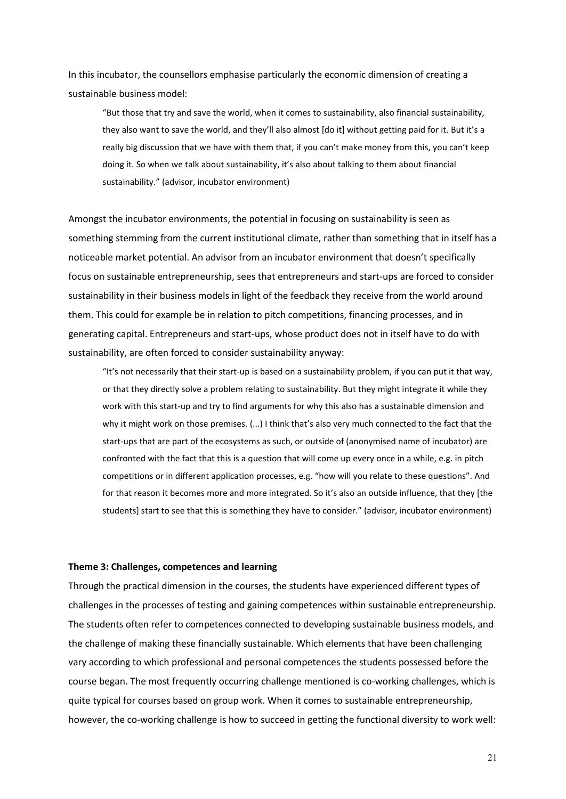In this incubator, the counsellors emphasise particularly the economic dimension of creating a sustainable business model:

"But those that try and save the world, when it comes to sustainability, also financial sustainability, they also want to save the world, and they'll also almost [do it] without getting paid for it. But it's a really big discussion that we have with them that, if you can't make money from this, you can't keep doing it. So when we talk about sustainability, it's also about talking to them about financial sustainability." (advisor, incubator environment)

Amongst the incubator environments, the potential in focusing on sustainability is seen as something stemming from the current institutional climate, rather than something that in itself has a noticeable market potential. An advisor from an incubator environment that doesn't specifically focus on sustainable entrepreneurship, sees that entrepreneurs and start-ups are forced to consider sustainability in their business models in light of the feedback they receive from the world around them. This could for example be in relation to pitch competitions, financing processes, and in generating capital. Entrepreneurs and start-ups, whose product does not in itself have to do with sustainability, are often forced to consider sustainability anyway:

"It's not necessarily that their start-up is based on a sustainability problem, if you can put it that way, or that they directly solve a problem relating to sustainability. But they might integrate it while they work with this start-up and try to find arguments for why this also has a sustainable dimension and why it might work on those premises. (...) I think that's also very much connected to the fact that the start-ups that are part of the ecosystems as such, or outside of (anonymised name of incubator) are confronted with the fact that this is a question that will come up every once in a while, e.g. in pitch competitions or in different application processes, e.g. "how will you relate to these questions". And for that reason it becomes more and more integrated. So it's also an outside influence, that they [the students] start to see that this is something they have to consider." (advisor, incubator environment)

### **Theme 3: Challenges, competences and learning**

Through the practical dimension in the courses, the students have experienced different types of challenges in the processes of testing and gaining competences within sustainable entrepreneurship. The students often refer to competences connected to developing sustainable business models, and the challenge of making these financially sustainable. Which elements that have been challenging vary according to which professional and personal competences the students possessed before the course began. The most frequently occurring challenge mentioned is co-working challenges, which is quite typical for courses based on group work. When it comes to sustainable entrepreneurship, however, the co-working challenge is how to succeed in getting the functional diversity to work well: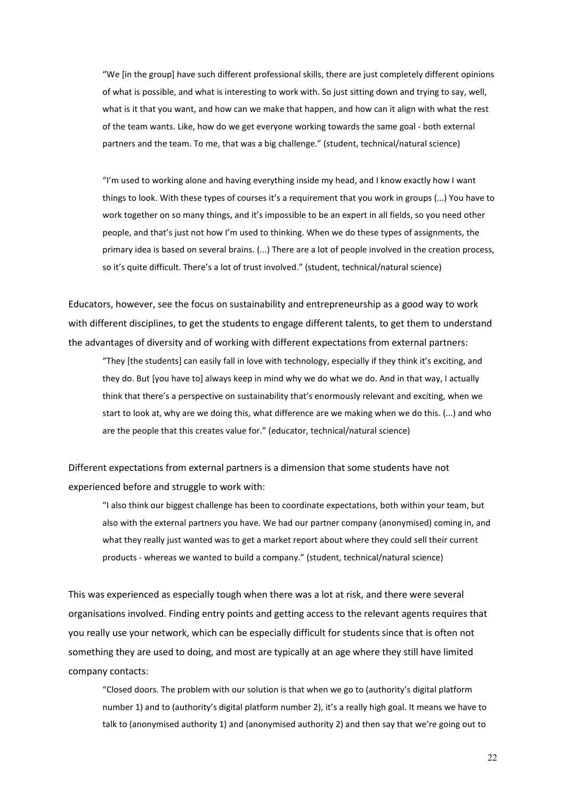"We [in the group] have such different professional skills, there are just completely different opinions of what is possible, and what is interesting to work with. So just sitting down and trying to say, well, what is it that you want, and how can we make that happen, and how can it align with what the rest of the team wants. Like, how do we get everyone working towards the same goal - both external partners and the team. To me, that was a big challenge." (student, technical/natural science)

"I'm used to working alone and having everything inside my head, and I know exactly how I want things to look. With these types of courses it's a requirement that you work in groups (...) You have to work together on so many things, and it's impossible to be an expert in all fields, so you need other people, and that's just not how I'm used to thinking. When we do these types of assignments, the primary idea is based on several brains. (...) There are a lot of people involved in the creation process, so it's quite difficult. There's a lot of trust involved." (student, technical/natural science)

Educators, however, see the focus on sustainability and entrepreneurship as a good way to work with different disciplines, to get the students to engage different talents, to get them to understand the advantages of diversity and of working with different expectations from external partners:

"They [the students] can easily fall in love with technology, especially if they think it's exciting, and they do. But [you have to] always keep in mind why we do what we do. And in that way, I actually think that there's a perspective on sustainability that's enormously relevant and exciting, when we start to look at, why are we doing this, what difference are we making when we do this. (...) and who are the people that this creates value for." (educator, technical/natural science)

Different expectations from external partners is a dimension that some students have not experienced before and struggle to work with:

"I also think our biggest challenge has been to coordinate expectations, both within your team, but also with the external partners you have. We had our partner company (anonymised) coming in, and what they really just wanted was to get a market report about where they could sell their current products - whereas we wanted to build a company." (student, technical/natural science)

This was experienced as especially tough when there was a lot at risk, and there were several organisations involved. Finding entry points and getting access to the relevant agents requires that you really use your network, which can be especially difficult for students since that is often not something they are used to doing, and most are typically at an age where they still have limited company contacts:

"Closed doors. The problem with our solution is that when we go to (authority's digital platform number 1) and to (authority's digital platform number 2), it's a really high goal. It means we have to talk to (anonymised authority 1) and (anonymised authority 2) and then say that we're going out to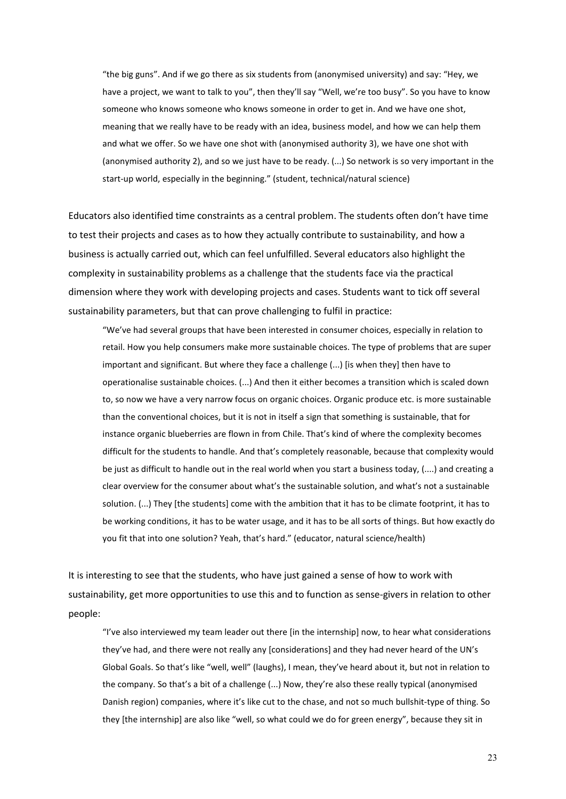"the big guns". And if we go there as six students from (anonymised university) and say: "Hey, we have a project, we want to talk to you", then they'll say "Well, we're too busy". So you have to know someone who knows someone who knows someone in order to get in. And we have one shot, meaning that we really have to be ready with an idea, business model, and how we can help them and what we offer. So we have one shot with (anonymised authority 3), we have one shot with (anonymised authority 2), and so we just have to be ready. (...) So network is so very important in the start-up world, especially in the beginning." (student, technical/natural science)

Educators also identified time constraints as a central problem. The students often don't have time to test their projects and cases as to how they actually contribute to sustainability, and how a business is actually carried out, which can feel unfulfilled. Several educators also highlight the complexity in sustainability problems as a challenge that the students face via the practical dimension where they work with developing projects and cases. Students want to tick off several sustainability parameters, but that can prove challenging to fulfil in practice:

"We've had several groups that have been interested in consumer choices, especially in relation to retail. How you help consumers make more sustainable choices. The type of problems that are super important and significant. But where they face a challenge (...) [is when they] then have to operationalise sustainable choices. (...) And then it either becomes a transition which is scaled down to, so now we have a very narrow focus on organic choices. Organic produce etc. is more sustainable than the conventional choices, but it is not in itself a sign that something is sustainable, that for instance organic blueberries are flown in from Chile. That's kind of where the complexity becomes difficult for the students to handle. And that's completely reasonable, because that complexity would be just as difficult to handle out in the real world when you start a business today, (....) and creating a clear overview for the consumer about what's the sustainable solution, and what's not a sustainable solution. (...) They [the students] come with the ambition that it has to be climate footprint, it has to be working conditions, it has to be water usage, and it has to be all sorts of things. But how exactly do you fit that into one solution? Yeah, that's hard." (educator, natural science/health)

It is interesting to see that the students, who have just gained a sense of how to work with sustainability, get more opportunities to use this and to function as sense-givers in relation to other people:

"I've also interviewed my team leader out there [in the internship] now, to hear what considerations they've had, and there were not really any [considerations] and they had never heard of the UN's Global Goals. So that's like "well, well" (laughs), I mean, they've heard about it, but not in relation to the company. So that's a bit of a challenge (...) Now, they're also these really typical (anonymised Danish region) companies, where it's like cut to the chase, and not so much bullshit-type of thing. So they [the internship] are also like "well, so what could we do for green energy", because they sit in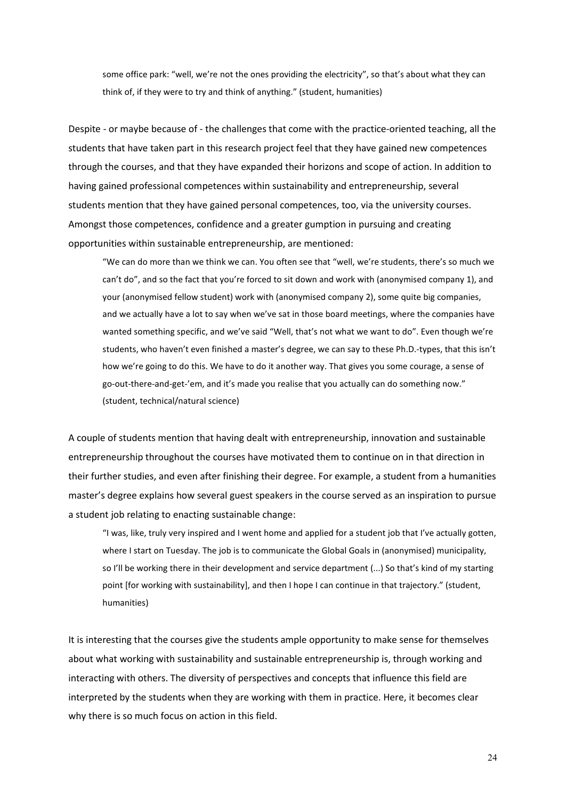some office park: "well, we're not the ones providing the electricity", so that's about what they can think of, if they were to try and think of anything." (student, humanities)

Despite - or maybe because of - the challenges that come with the practice-oriented teaching, all the students that have taken part in this research project feel that they have gained new competences through the courses, and that they have expanded their horizons and scope of action. In addition to having gained professional competences within sustainability and entrepreneurship, several students mention that they have gained personal competences, too, via the university courses. Amongst those competences, confidence and a greater gumption in pursuing and creating opportunities within sustainable entrepreneurship, are mentioned:

"We can do more than we think we can. You often see that "well, we're students, there's so much we can't do", and so the fact that you're forced to sit down and work with (anonymised company 1), and your (anonymised fellow student) work with (anonymised company 2), some quite big companies, and we actually have a lot to say when we've sat in those board meetings, where the companies have wanted something specific, and we've said "Well, that's not what we want to do". Even though we're students, who haven't even finished a master's degree, we can say to these Ph.D.-types, that this isn't how we're going to do this. We have to do it another way. That gives you some courage, a sense of go-out-there-and-get-'em, and it's made you realise that you actually can do something now." (student, technical/natural science)

A couple of students mention that having dealt with entrepreneurship, innovation and sustainable entrepreneurship throughout the courses have motivated them to continue on in that direction in their further studies, and even after finishing their degree. For example, a student from a humanities master's degree explains how several guest speakers in the course served as an inspiration to pursue a student job relating to enacting sustainable change:

"I was, like, truly very inspired and I went home and applied for a student job that I've actually gotten, where I start on Tuesday. The job is to communicate the Global Goals in (anonymised) municipality, so I'll be working there in their development and service department (...) So that's kind of my starting point [for working with sustainability], and then I hope I can continue in that trajectory." (student, humanities)

It is interesting that the courses give the students ample opportunity to make sense for themselves about what working with sustainability and sustainable entrepreneurship is, through working and interacting with others. The diversity of perspectives and concepts that influence this field are interpreted by the students when they are working with them in practice. Here, it becomes clear why there is so much focus on action in this field.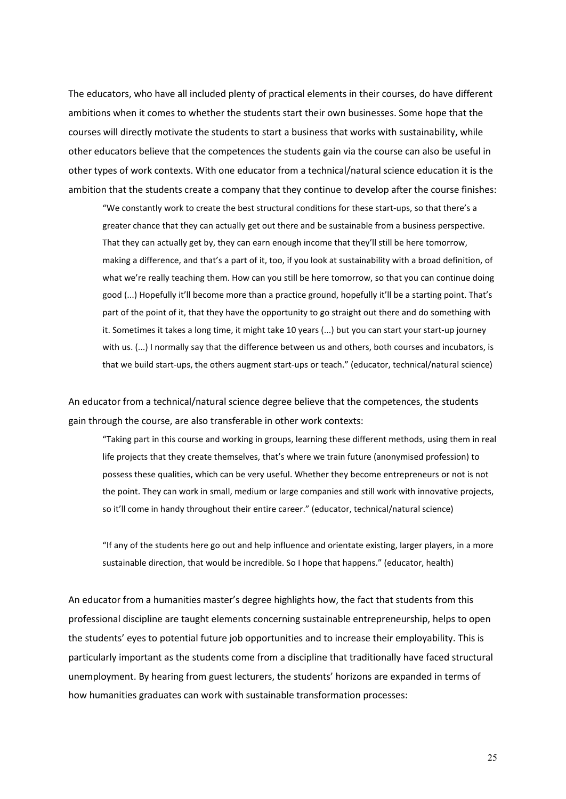The educators, who have all included plenty of practical elements in their courses, do have different ambitions when it comes to whether the students start their own businesses. Some hope that the courses will directly motivate the students to start a business that works with sustainability, while other educators believe that the competences the students gain via the course can also be useful in other types of work contexts. With one educator from a technical/natural science education it is the ambition that the students create a company that they continue to develop after the course finishes:

"We constantly work to create the best structural conditions for these start-ups, so that there's a greater chance that they can actually get out there and be sustainable from a business perspective. That they can actually get by, they can earn enough income that they'll still be here tomorrow, making a difference, and that's a part of it, too, if you look at sustainability with a broad definition, of what we're really teaching them. How can you still be here tomorrow, so that you can continue doing good (...) Hopefully it'll become more than a practice ground, hopefully it'll be a starting point. That's part of the point of it, that they have the opportunity to go straight out there and do something with it. Sometimes it takes a long time, it might take 10 years (...) but you can start your start-up journey with us. (...) I normally say that the difference between us and others, both courses and incubators, is that we build start-ups, the others augment start-ups or teach." (educator, technical/natural science)

An educator from a technical/natural science degree believe that the competences, the students gain through the course, are also transferable in other work contexts:

"Taking part in this course and working in groups, learning these different methods, using them in real life projects that they create themselves, that's where we train future (anonymised profession) to possess these qualities, which can be very useful. Whether they become entrepreneurs or not is not the point. They can work in small, medium or large companies and still work with innovative projects, so it'll come in handy throughout their entire career." (educator, technical/natural science)

"If any of the students here go out and help influence and orientate existing, larger players, in a more sustainable direction, that would be incredible. So I hope that happens." (educator, health)

An educator from a humanities master's degree highlights how, the fact that students from this professional discipline are taught elements concerning sustainable entrepreneurship, helps to open the students' eyes to potential future job opportunities and to increase their employability. This is particularly important as the students come from a discipline that traditionally have faced structural unemployment. By hearing from guest lecturers, the students' horizons are expanded in terms of how humanities graduates can work with sustainable transformation processes: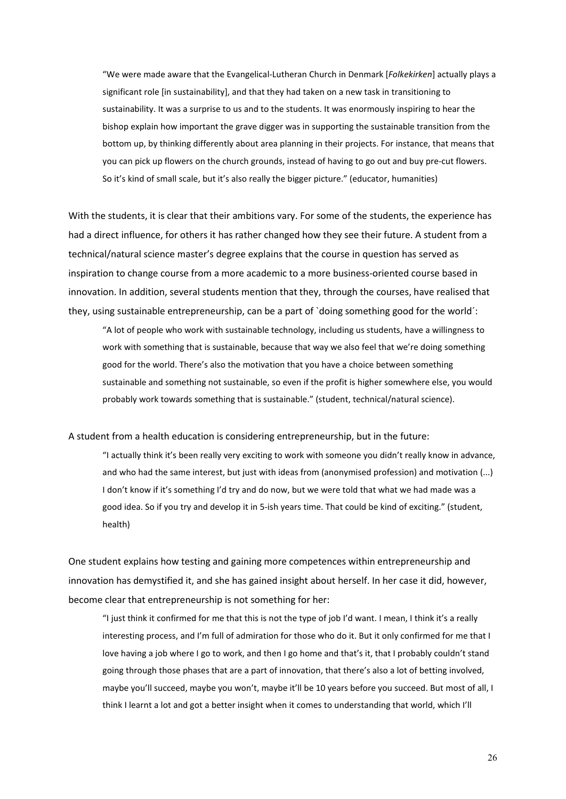"We were made aware that the Evangelical-Lutheran Church in Denmark [*Folkekirken*] actually plays a significant role [in sustainability], and that they had taken on a new task in transitioning to sustainability. It was a surprise to us and to the students. It was enormously inspiring to hear the bishop explain how important the grave digger was in supporting the sustainable transition from the bottom up, by thinking differently about area planning in their projects. For instance, that means that you can pick up flowers on the church grounds, instead of having to go out and buy pre-cut flowers. So it's kind of small scale, but it's also really the bigger picture." (educator, humanities)

With the students, it is clear that their ambitions vary. For some of the students, the experience has had a direct influence, for others it has rather changed how they see their future. A student from a technical/natural science master's degree explains that the course in question has served as inspiration to change course from a more academic to a more business-oriented course based in innovation. In addition, several students mention that they, through the courses, have realised that they, using sustainable entrepreneurship, can be a part of `doing something good for the world´:

"A lot of people who work with sustainable technology, including us students, have a willingness to work with something that is sustainable, because that way we also feel that we're doing something good for the world. There's also the motivation that you have a choice between something sustainable and something not sustainable, so even if the profit is higher somewhere else, you would probably work towards something that is sustainable." (student, technical/natural science).

A student from a health education is considering entrepreneurship, but in the future:

"I actually think it's been really very exciting to work with someone you didn't really know in advance, and who had the same interest, but just with ideas from (anonymised profession) and motivation (...) I don't know if it's something I'd try and do now, but we were told that what we had made was a good idea. So if you try and develop it in 5-ish years time. That could be kind of exciting." (student, health)

One student explains how testing and gaining more competences within entrepreneurship and innovation has demystified it, and she has gained insight about herself. In her case it did, however, become clear that entrepreneurship is not something for her:

"I just think it confirmed for me that this is not the type of job I'd want. I mean, I think it's a really interesting process, and I'm full of admiration for those who do it. But it only confirmed for me that I love having a job where I go to work, and then I go home and that's it, that I probably couldn't stand going through those phases that are a part of innovation, that there's also a lot of betting involved, maybe you'll succeed, maybe you won't, maybe it'll be 10 years before you succeed. But most of all, I think I learnt a lot and got a better insight when it comes to understanding that world, which I'll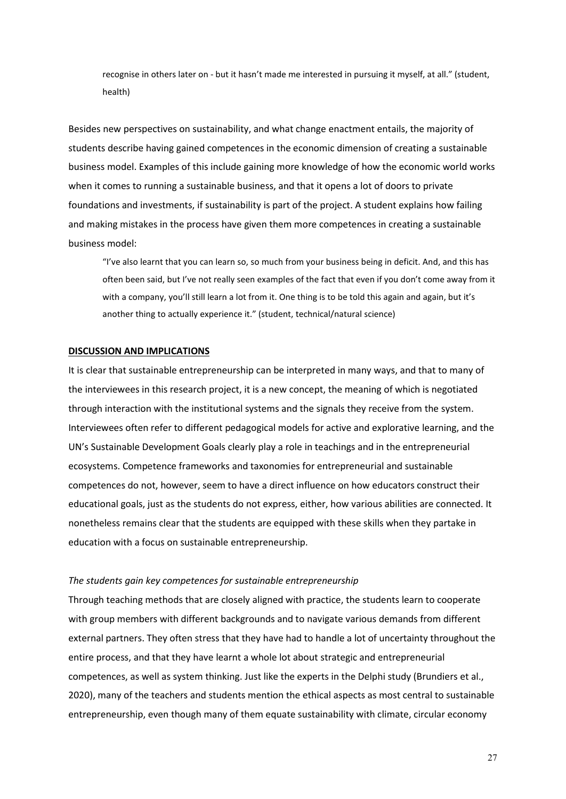recognise in others later on - but it hasn't made me interested in pursuing it myself, at all." (student, health)

Besides new perspectives on sustainability, and what change enactment entails, the majority of students describe having gained competences in the economic dimension of creating a sustainable business model. Examples of this include gaining more knowledge of how the economic world works when it comes to running a sustainable business, and that it opens a lot of doors to private foundations and investments, if sustainability is part of the project. A student explains how failing and making mistakes in the process have given them more competences in creating a sustainable business model:

"I've also learnt that you can learn so, so much from your business being in deficit. And, and this has often been said, but I've not really seen examples of the fact that even if you don't come away from it with a company, you'll still learn a lot from it. One thing is to be told this again and again, but it's another thing to actually experience it." (student, technical/natural science)

### **DISCUSSION AND IMPLICATIONS**

It is clear that sustainable entrepreneurship can be interpreted in many ways, and that to many of the interviewees in this research project, it is a new concept, the meaning of which is negotiated through interaction with the institutional systems and the signals they receive from the system. Interviewees often refer to different pedagogical models for active and explorative learning, and the UN's Sustainable Development Goals clearly play a role in teachings and in the entrepreneurial ecosystems. Competence frameworks and taxonomies for entrepreneurial and sustainable competences do not, however, seem to have a direct influence on how educators construct their educational goals, just as the students do not express, either, how various abilities are connected. It nonetheless remains clear that the students are equipped with these skills when they partake in education with a focus on sustainable entrepreneurship.

### *The students gain key competences for sustainable entrepreneurship*

Through teaching methods that are closely aligned with practice, the students learn to cooperate with group members with different backgrounds and to navigate various demands from different external partners. They often stress that they have had to handle a lot of uncertainty throughout the entire process, and that they have learnt a whole lot about strategic and entrepreneurial competences, as well as system thinking. Just like the experts in the Delphi study (Brundiers et al., 2020), many of the teachers and students mention the ethical aspects as most central to sustainable entrepreneurship, even though many of them equate sustainability with climate, circular economy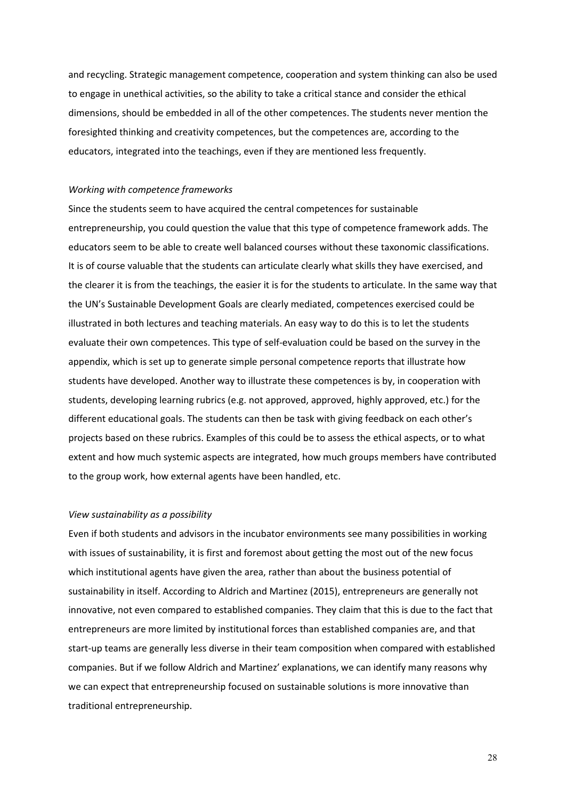and recycling. Strategic management competence, cooperation and system thinking can also be used to engage in unethical activities, so the ability to take a critical stance and consider the ethical dimensions, should be embedded in all of the other competences. The students never mention the foresighted thinking and creativity competences, but the competences are, according to the educators, integrated into the teachings, even if they are mentioned less frequently.

### *Working with competence frameworks*

Since the students seem to have acquired the central competences for sustainable entrepreneurship, you could question the value that this type of competence framework adds. The educators seem to be able to create well balanced courses without these taxonomic classifications. It is of course valuable that the students can articulate clearly what skills they have exercised, and the clearer it is from the teachings, the easier it is for the students to articulate. In the same way that the UN's Sustainable Development Goals are clearly mediated, competences exercised could be illustrated in both lectures and teaching materials. An easy way to do this is to let the students evaluate their own competences. This type of self-evaluation could be based on the survey in the appendix, which is set up to generate simple personal competence reports that illustrate how students have developed. Another way to illustrate these competences is by, in cooperation with students, developing learning rubrics (e.g. not approved, approved, highly approved, etc.) for the different educational goals. The students can then be task with giving feedback on each other's projects based on these rubrics. Examples of this could be to assess the ethical aspects, or to what extent and how much systemic aspects are integrated, how much groups members have contributed to the group work, how external agents have been handled, etc.

### *View sustainability as a possibility*

Even if both students and advisors in the incubator environments see many possibilities in working with issues of sustainability, it is first and foremost about getting the most out of the new focus which institutional agents have given the area, rather than about the business potential of sustainability in itself. According to Aldrich and Martinez (2015), entrepreneurs are generally not innovative, not even compared to established companies. They claim that this is due to the fact that entrepreneurs are more limited by institutional forces than established companies are, and that start-up teams are generally less diverse in their team composition when compared with established companies. But if we follow Aldrich and Martinez' explanations, we can identify many reasons why we can expect that entrepreneurship focused on sustainable solutions is more innovative than traditional entrepreneurship.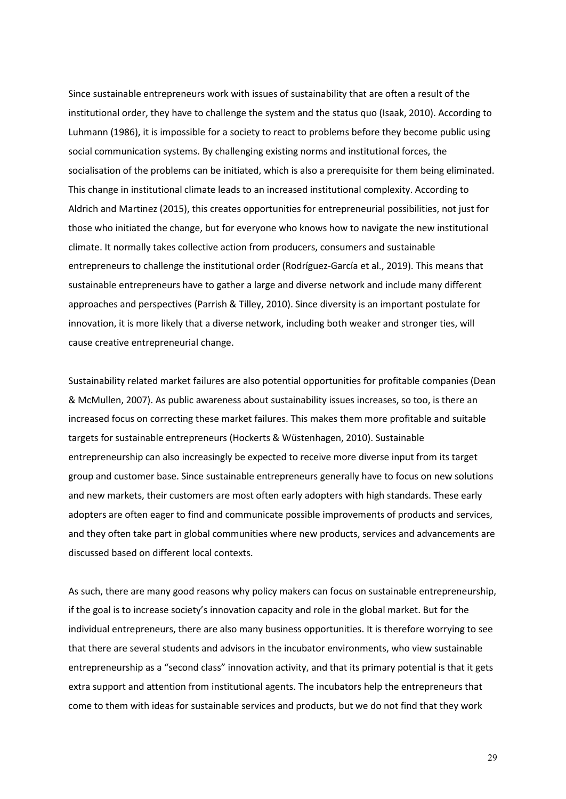Since sustainable entrepreneurs work with issues of sustainability that are often a result of the institutional order, they have to challenge the system and the status quo (Isaak, 2010). According to Luhmann (1986), it is impossible for a society to react to problems before they become public using social communication systems. By challenging existing norms and institutional forces, the socialisation of the problems can be initiated, which is also a prerequisite for them being eliminated. This change in institutional climate leads to an increased institutional complexity. According to Aldrich and Martinez (2015), this creates opportunities for entrepreneurial possibilities, not just for those who initiated the change, but for everyone who knows how to navigate the new institutional climate. It normally takes collective action from producers, consumers and sustainable entrepreneurs to challenge the institutional order (Rodríguez-García et al., 2019). This means that sustainable entrepreneurs have to gather a large and diverse network and include many different approaches and perspectives (Parrish & Tilley, 2010). Since diversity is an important postulate for innovation, it is more likely that a diverse network, including both weaker and stronger ties, will cause creative entrepreneurial change.

Sustainability related market failures are also potential opportunities for profitable companies (Dean & McMullen, 2007). As public awareness about sustainability issues increases, so too, is there an increased focus on correcting these market failures. This makes them more profitable and suitable targets for sustainable entrepreneurs (Hockerts & Wüstenhagen, 2010). Sustainable entrepreneurship can also increasingly be expected to receive more diverse input from its target group and customer base. Since sustainable entrepreneurs generally have to focus on new solutions and new markets, their customers are most often early adopters with high standards. These early adopters are often eager to find and communicate possible improvements of products and services, and they often take part in global communities where new products, services and advancements are discussed based on different local contexts.

As such, there are many good reasons why policy makers can focus on sustainable entrepreneurship, if the goal is to increase society's innovation capacity and role in the global market. But for the individual entrepreneurs, there are also many business opportunities. It is therefore worrying to see that there are several students and advisors in the incubator environments, who view sustainable entrepreneurship as a "second class" innovation activity, and that its primary potential is that it gets extra support and attention from institutional agents. The incubators help the entrepreneurs that come to them with ideas for sustainable services and products, but we do not find that they work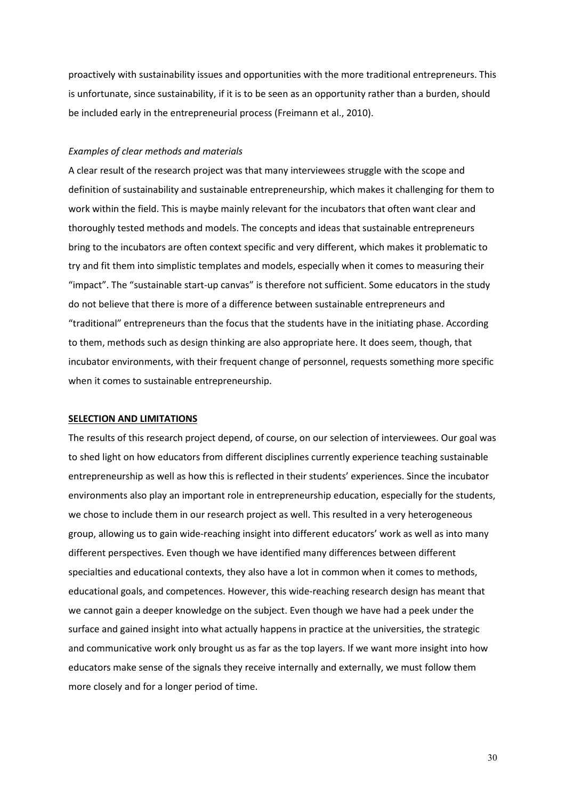proactively with sustainability issues and opportunities with the more traditional entrepreneurs. This is unfortunate, since sustainability, if it is to be seen as an opportunity rather than a burden, should be included early in the entrepreneurial process (Freimann et al., 2010).

### *Examples of clear methods and materials*

A clear result of the research project was that many interviewees struggle with the scope and definition of sustainability and sustainable entrepreneurship, which makes it challenging for them to work within the field. This is maybe mainly relevant for the incubators that often want clear and thoroughly tested methods and models. The concepts and ideas that sustainable entrepreneurs bring to the incubators are often context specific and very different, which makes it problematic to try and fit them into simplistic templates and models, especially when it comes to measuring their "impact". The "sustainable start-up canvas" is therefore not sufficient. Some educators in the study do not believe that there is more of a difference between sustainable entrepreneurs and "traditional" entrepreneurs than the focus that the students have in the initiating phase. According to them, methods such as design thinking are also appropriate here. It does seem, though, that incubator environments, with their frequent change of personnel, requests something more specific when it comes to sustainable entrepreneurship.

### **SELECTION AND LIMITATIONS**

The results of this research project depend, of course, on our selection of interviewees. Our goal was to shed light on how educators from different disciplines currently experience teaching sustainable entrepreneurship as well as how this is reflected in their students' experiences. Since the incubator environments also play an important role in entrepreneurship education, especially for the students, we chose to include them in our research project as well. This resulted in a very heterogeneous group, allowing us to gain wide-reaching insight into different educators' work as well as into many different perspectives. Even though we have identified many differences between different specialties and educational contexts, they also have a lot in common when it comes to methods, educational goals, and competences. However, this wide-reaching research design has meant that we cannot gain a deeper knowledge on the subject. Even though we have had a peek under the surface and gained insight into what actually happens in practice at the universities, the strategic and communicative work only brought us as far as the top layers. If we want more insight into how educators make sense of the signals they receive internally and externally, we must follow them more closely and for a longer period of time.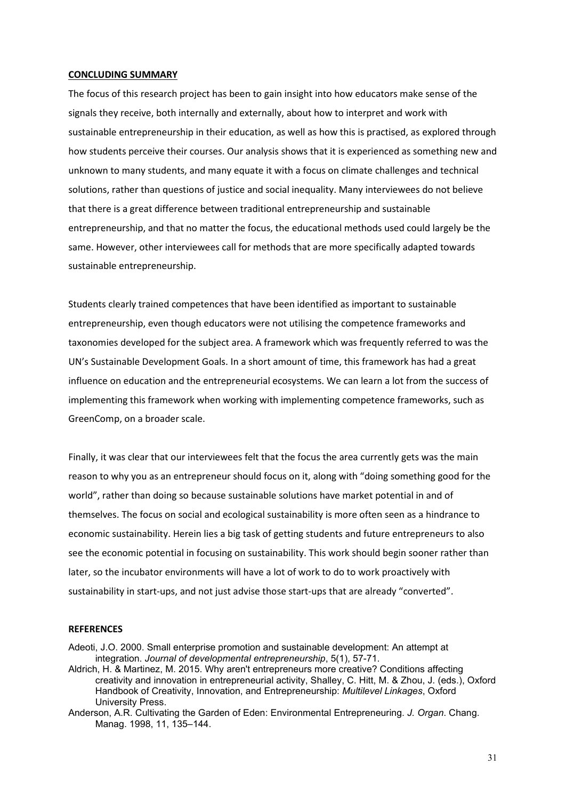### **CONCLUDING SUMMARY**

The focus of this research project has been to gain insight into how educators make sense of the signals they receive, both internally and externally, about how to interpret and work with sustainable entrepreneurship in their education, as well as how this is practised, as explored through how students perceive their courses. Our analysis shows that it is experienced as something new and unknown to many students, and many equate it with a focus on climate challenges and technical solutions, rather than questions of justice and social inequality. Many interviewees do not believe that there is a great difference between traditional entrepreneurship and sustainable entrepreneurship, and that no matter the focus, the educational methods used could largely be the same. However, other interviewees call for methods that are more specifically adapted towards sustainable entrepreneurship.

Students clearly trained competences that have been identified as important to sustainable entrepreneurship, even though educators were not utilising the competence frameworks and taxonomies developed for the subject area. A framework which was frequently referred to was the UN's Sustainable Development Goals. In a short amount of time, this framework has had a great influence on education and the entrepreneurial ecosystems. We can learn a lot from the success of implementing this framework when working with implementing competence frameworks, such as GreenComp, on a broader scale.

Finally, it was clear that our interviewees felt that the focus the area currently gets was the main reason to why you as an entrepreneur should focus on it, along with "doing something good for the world", rather than doing so because sustainable solutions have market potential in and of themselves. The focus on social and ecological sustainability is more often seen as a hindrance to economic sustainability. Herein lies a big task of getting students and future entrepreneurs to also see the economic potential in focusing on sustainability. This work should begin sooner rather than later, so the incubator environments will have a lot of work to do to work proactively with sustainability in start-ups, and not just advise those start-ups that are already "converted".

### **REFERENCES**

Adeoti, J.O. 2000. Small enterprise promotion and sustainable development: An attempt at integration. *Journal of developmental entrepreneurship*, 5(1), 57-71.

Aldrich, H. & Martinez, M. 2015. Why aren't entrepreneurs more creative? Conditions affecting creativity and innovation in entrepreneurial activity, Shalley, C. Hitt, M. & Zhou, J. (eds.), Oxford Handbook of Creativity, Innovation, and Entrepreneurship: *Multilevel Linkages*, Oxford University Press.

Anderson, A.R. Cultivating the Garden of Eden: Environmental Entrepreneuring. *J. Organ*. Chang. Manag. 1998, 11, 135–144.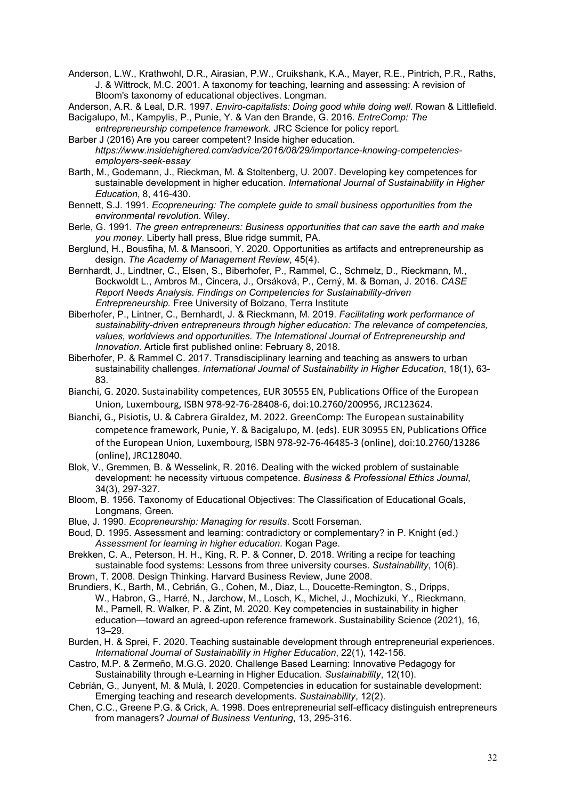Anderson, L.W., Krathwohl, D.R., Airasian, P.W., Cruikshank, K.A., Mayer, R.E., Pintrich, P.R., Raths, J. & Wittrock, M.C. 2001. A taxonomy for teaching, learning and assessing: A revision of Bloom's taxonomy of educational objectives. Longman.

Anderson, A.R. & Leal, D.R. 1997. *Enviro-capitalists: Doing good while doing well*. Rowan & Littlefield.

Bacigalupo, M., Kampylis, P., Punie, Y. & Van den Brande, G. 2016. *EntreComp: The entrepreneurship competence framework.* JRC Science for policy report.

- Barber J (2016) Are you career competent? Inside higher education. *[https://www.insidehighered.com/advice/2016/08/29/importance-knowing-competencies](https://www.insidehighered.com/advice/2016/08/29/importance-knowing-competencies-employers-seek-essay)[employers-seek-essay](https://www.insidehighered.com/advice/2016/08/29/importance-knowing-competencies-employers-seek-essay)*
- Barth, M., Godemann, J., Rieckman, M. & Stoltenberg, U. 2007. Developing key competences for sustainable development in higher education. *International Journal of Sustainability in Higher Education*, 8, 416‐430.
- Bennett, S.J. 1991. *Ecopreneuring: The complete guide to small business opportunities from the environmental revolution*. Wiley.
- Berle, G. 1991*. The green entrepreneurs: Business opportunities that can save the earth and make you money*. Liberty hall press, Blue ridge summit, PA.
- Berglund, H., Bousfiha, M. & Mansoori, Y. 2020. Opportunities as artifacts and entrepreneurship as design. *The Academy of Management Review*, 45(4).
- Bernhardt, J., Lindtner, C., Elsen, S., Biberhofer, P., Rammel, C., Schmelz, D., Rieckmann, M., Bockwoldt L., Ambros M., Cincera, J., Orsáková, P., Cerný, M. & Boman, J. 2016. *[CASE](https://www.case-ka.eu/wp/wp-content/uploads/D1.1-CASE-Report-Needs-Analysis.pdf)  [Report Needs Analysis. Findings on Competencies for Sustainability-driven](https://www.case-ka.eu/wp/wp-content/uploads/D1.1-CASE-Report-Needs-Analysis.pdf)  [Entrepreneurship.](https://www.case-ka.eu/wp/wp-content/uploads/D1.1-CASE-Report-Needs-Analysis.pdf)* Free University of Bolzano, Terra Institute
- Biberhofer, P., Lintner, C., Bernhardt, J. & Rieckmann, M. 2019. *[Facilitating work performance of](http://journals.sagepub.com/doi/10.1177/1465750318755881)  [sustainability-driven entrepreneurs through higher education: The relevance of competencies,](http://journals.sagepub.com/doi/10.1177/1465750318755881)  [values, worldviews and opportunities.](http://journals.sagepub.com/doi/10.1177/1465750318755881) The International Journal of Entrepreneurship and Innovation*. Article first published online: February 8, 2018.
- Biberhofer, P. & Rammel C. 2017. Transdisciplinary learning and teaching as answers to urban sustainability challenges. *International Journal of Sustainability in Higher Education*, 18(1), 63- 83.
- Bianchi, G. 2020. Sustainability competences, EUR 30555 EN, Publications Office of the European Union, Luxembourg, ISBN 978-92-76-28408-6, doi:10.2760/200956, JRC123624.
- Bianchi, G., Pisiotis, U. & Cabrera Giraldez, M. 2022. GreenComp: The European sustainability competence framework, Punie, Y. & Bacigalupo, M. (eds). EUR 30955 EN, Publications Office of the European Union, Luxembourg, ISBN 978-92-76-46485-3 (online), doi:10.2760/13286 (online), JRC128040.
- Blok, V., Gremmen, B. & Wesselink, R. 2016. Dealing with the wicked problem of sustainable development: he necessity virtuous competence. *Business & Professional Ethics Journal*, 34(3), 297-327.
- Bloom, B. 1956. Taxonomy of Educational Objectives: The Classification of Educational Goals, Longmans, Green.
- Blue, J. 1990. *Ecopreneurship: Managing for results*. Scott Forseman.
- Boud, D. 1995. Assessment and learning: contradictory or complementary? in P. Knight (ed.) *Assessment for learning in higher education*. Kogan Page.
- Brekken, C. A., Peterson, H. H., King, R. P. & Conner, D. 2018. Writing a recipe for teaching sustainable food systems: Lessons from three university courses. *Sustainability*, 10(6).
- Brown, T. 2008. Design Thinking. Harvard Business Review, June 2008.
- Brundiers, K., Barth, M., Cebrián, G., Cohen, M., Diaz, L., Doucette-Remington, S., Dripps, W., Habron, G., Harré, N., Jarchow, M., Losch, K., Michel, J., Mochizuki, Y., Rieckmann, M., Parnell, R. Walker, P. & Zint, M. 2020. Key competencies in sustainability in higher education—toward an agreed-upon reference framework. Sustainability Science (2021), 16, 13–29.
- Burden, H. & Sprei, F. 2020. Teaching sustainable development through entrepreneurial experiences. *International Journal of Sustainability in Higher Education*, 22(1), 142-156.
- Castro, M.P. & Zermeño, M.G.G. 2020. Challenge Based Learning: Innovative Pedagogy for Sustainability through e-Learning in Higher Education. *Sustainability*, 12(10).
- Cebrián, G., Junyent, M. & Mulà, I. 2020. Competencies in education for sustainable development: Emerging teaching and research developments. *Sustainability*, 12(2).
- Chen, C.C., Greene P.G. & Crick, A. 1998. Does entrepreneurial self-efficacy distinguish entrepreneurs from managers? *Journal of Business Venturing*, 13, 295-316.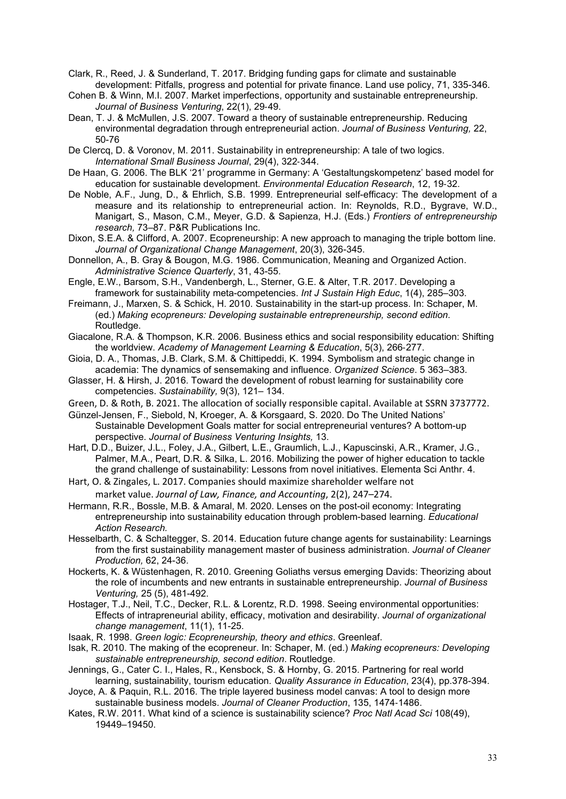Clark, R., Reed, J. & Sunderland, T. 2017. Bridging funding gaps for climate and sustainable development: Pitfalls, progress and potential for private finance. Land use policy, 71, 335-346.

- Cohen B. & Winn, M.I. 2007. Market imperfections, opportunity and sustainable entrepreneurship. *Journal of Business Venturing*, 22(1), 29‐49.
- Dean, T. J. & McMullen, J.S. 2007. Toward a theory of sustainable entrepreneurship. Reducing environmental degradation through entrepreneurial action. *Journal of Business Venturing,* 22, 50-76
- De Clercq, D. & Voronov, M. 2011. Sustainability in entrepreneurship: A tale of two logics. *International Small Business Journal*, 29(4), 322‐344.
- De Haan, G. 2006. The BLK '21' programme in Germany: A 'Gestaltungskompetenz' based model for education for sustainable development. *Environmental Education Research*, 12, 19‐32.
- De Noble, A.F., Jung, D., & Ehrlich, S.B. 1999. Entrepreneurial self-efficacy: The development of a measure and its relationship to entrepreneurial action. In: Reynolds, R.D., Bygrave, W.D., Manigart, S., Mason, C.M., Meyer, G.D. & Sapienza, H.J. (Eds.) *Frontiers of entrepreneurship research,* 73–87. P&R Publications Inc.
- Dixon, S.E.A. & Clifford, A. 2007. Ecopreneurship: A new approach to managing the triple bottom line. *Journal of Organizational Change Management*, 20(3), 326-345.
- Donnellon, A., B. Gray & Bougon, M.G. 1986. Communication, Meaning and Organized Action. *Administrative Science Quarterly*, 31, 43-55.
- Engle, E.W., Barsom, S.H., Vandenbergh, L., Sterner, G.E. & Alter, T.R. 2017. Developing a framework for sustainability meta-competencies. *Int J Sustain High Educ*, 1(4), 285–303.
- Freimann, J., Marxen, S. & Schick, H. 2010. Sustainability in the start-up process. In: Schaper, M. (ed.) *Making ecopreneurs: Developing sustainable entrepreneurship, second edition*. Routledge.
- Giacalone, R.A. & Thompson, K.R. 2006. Business ethics and social responsibility education: Shifting the worldview. *Academy of Management Learning & Education*, 5(3), 266‐277.
- Gioia, D. A., Thomas, J.B. Clark, S.M. & Chittipeddi, K. 1994. Symbolism and strategic change in academia: The dynamics of sensemaking and influence. *Organized Science*. 5 363–383.
- Glasser, H. & Hirsh, J. 2016. Toward the development of robust learning for sustainability core competencies. *Sustainability,* 9(3), 121– 134.
- Green, D. & Roth, B. 2021. The allocation of socially responsible capital. Available at SSRN 3737772.
- Günzel-Jensen, F., Siebold, N, Kroeger, A. & Korsgaard, S. 2020. Do The United Nations' Sustainable Development Goals matter for social entrepreneurial ventures? A bottom-up perspective. *Journal of Business Venturing Insights,* 13.
- Hart, D.D., Buizer, J.L., Foley, J.A., Gilbert, L.E., Graumlich, L.J., Kapuscinski, A.R., Kramer, J.G., Palmer, M.A., Peart, D.R. & Silka, L. 2016. Mobilizing the power of higher education to tackle the grand challenge of sustainability: Lessons from novel initiatives. Elementa Sci Anthr. 4.
- Hart, O. & Zingales, L. 2017. Companies should maximize shareholder welfare not market value. *Journal of Law, Finance, and Accounting*, 2(2), 247–274.
- Hermann, R.R., Bossle, M.B. & Amaral, M. 2020. Lenses on the post-oil economy: Integrating entrepreneurship into sustainability education through problem-based learning. *Educational Action Research.*
- Hesselbarth, C. & Schaltegger, S. 2014. Education future change agents for sustainability: Learnings from the first sustainability management master of business administration. *Journal of Cleaner Production,* 62, 24-36.
- Hockerts, K. & Wüstenhagen, R. 2010. Greening Goliaths versus emerging Davids: Theorizing about the role of incumbents and new entrants in sustainable entrepreneurship. *Journal of Business Venturing,* 25 (5), 481-492.
- Hostager, T.J., Neil, T.C., Decker, R.L. & Lorentz, R.D. 1998. Seeing environmental opportunities: Effects of intrapreneurial ability, efficacy, motivation and desirability. *Journal of organizational change management*, 11(1), 11-25.
- Isaak, R. 1998. *Green logic: Ecopreneurship, theory and ethics*. Greenleaf.
- Isak, R. 2010. The making of the ecopreneur. In: Schaper, M. (ed.) *Making ecopreneurs: Developing sustainable entrepreneurship, second edition*. Routledge.
- Jennings, G., Cater C. I., Hales, R., Kensbock, S. & Hornby, G. 2015. Partnering for real world learning, sustainability, tourism education. *Quality Assurance in Education*, 23(4), pp.378-394.
- Joyce, A. & Paquin, R.L. 2016. The triple layered business model canvas: A tool to design more sustainable business models. *Journal of Cleaner Production*, 135, 1474‐1486.
- Kates, R.W. 2011. What kind of a science is sustainability science? *Proc Natl Acad Sci* 108(49), 19449–19450.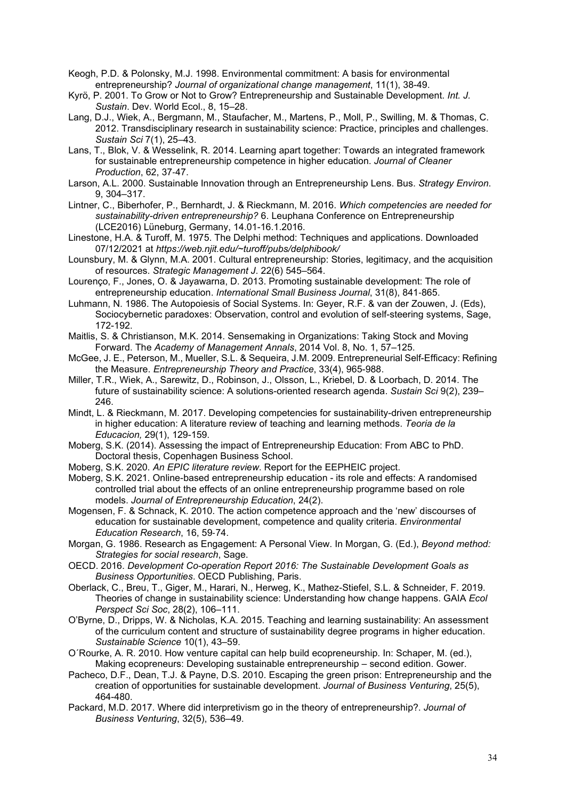- Keogh, P.D. & Polonsky, M.J. 1998. Environmental commitment: A basis for environmental entrepreneurship? *Journal of organizational change management*, 11(1), 38-49.
- Kyrö, P. 2001. To Grow or Not to Grow? Entrepreneurship and Sustainable Development. *Int. J. Sustain*. Dev. World Ecol., 8, 15–28.
- Lang, D.J., Wiek, A., Bergmann, M., Staufacher, M., Martens, P., Moll, P., Swilling, M. & Thomas, C. 2012. Transdisciplinary research in sustainability science: Practice, principles and challenges. *Sustain Sci* 7(1), 25–43.
- Lans, T., Blok, V. & Wesselink, R. 2014. Learning apart together: Towards an integrated framework for sustainable entrepreneurship competence in higher education. *Journal of Cleaner Production*, 62, 37‐47.
- Larson, A.L. 2000. Sustainable Innovation through an Entrepreneurship Lens. Bus. *Strategy Environ*. 9, 304–317.
- Lintner, C., Biberhofer, P., Bernhardt, J. & Rieckmann, M. 2016. *[Which competencies are needed for](https://www.case-ka.eu/wp/wp-content/uploads/2016/04/CASE_Paper-Pr%C3%A4sentation_final.pdf)  [sustainability-driven entrepreneurship?](https://www.case-ka.eu/wp/wp-content/uploads/2016/04/CASE_Paper-Pr%C3%A4sentation_final.pdf)* 6. Leuphana Conference on Entrepreneurship (LCE2016) Lüneburg, Germany, 14.01-16.1.2016.
- Linestone, H.A. & Turoff, M. 1975. The Delphi method: Techniques and applications. Downloaded 07/12/2021 at *[https://web.njit.edu/~turoff/pubs/delphibook/](https://web.njit.edu/%7Eturoff/pubs/delphibook/)*
- Lounsbury, M. & Glynn, M.A. 2001. Cultural entrepreneurship: Stories, legitimacy, and the acquisition of resources. *Strategic Management J*. 22(6) 545–564.
- Lourenço, F., Jones, O. & Jayawarna, D. 2013. Promoting sustainable development: The role of entrepreneurship education. *International Small Business Journal*, 31(8), 841‐865.
- Luhmann, N. 1986. The Autopoiesis of Social Systems. In: Geyer, R.F. & van der Zouwen, J. (Eds), Sociocybernetic paradoxes: Observation, control and evolution of self-steering systems, Sage, 172-192.
- Maitlis, S. & Christianson, M.K. 2014. Sensemaking in Organizations: Taking Stock and Moving Forward. The *Academy of Management Annals*, 2014 Vol. 8, No. 1, 57–125.
- McGee, J. E., Peterson, M., Mueller, S.L. & Sequeira, J.M. 2009. Entrepreneurial Self-Efficacy: Refining the Measure. *Entrepreneurship Theory and Practice*, 33(4), 965-988.
- Miller, T.R., Wiek, A., Sarewitz, D., Robinson, J., Olsson, L., Kriebel, D. & Loorbach, D. 2014. The future of sustainability science: A solutions-oriented research agenda. *Sustain Sci* 9(2), 239– 246.
- Mindt, L. & Rieckmann, M. 2017. Developing competencies for sustainability-driven entrepreneurship in higher education: A literature review of teaching and learning methods. *Teoria de la Educacion,* 29(1), 129-159.
- Moberg, S.K. (2014). Assessing the impact of Entrepreneurship Education: From ABC to PhD. Doctoral thesis, Copenhagen Business School.
- Moberg, S.K. 2020. *An EPIC literature review*. Report for the EEPHEIC project.
- Moberg, S.K. 2021. Online-based entrepreneurship education its role and effects: A randomised controlled trial about the effects of an online entrepreneurship programme based on role models. *Journal of Entrepreneurship Education*, 24(2).
- Mogensen, F. & Schnack, K. 2010. The action competence approach and the 'new' discourses of education for sustainable development, competence and quality criteria. *Environmental Education Research*, 16, 59‐74.
- Morgan, G. 1986. Research as Engagement: A Personal View. In Morgan, G. (Ed.), *Beyond method: Strategies for social research*, Sage.
- OECD. 2016. *Development Co-operation Report 2016: The Sustainable Development Goals as Business Opportunities*. OECD Publishing, Paris.
- Oberlack, C., Breu, T., Giger, M., Harari, N., Herweg, K., Mathez-Stiefel, S.L. & Schneider, F. 2019. Theories of change in sustainability science: Understanding how change happens. GAIA *Ecol Perspect Sci Soc*, 28(2), 106–111.
- O'Byrne, D., Dripps, W. & Nicholas, K.A. 2015. Teaching and learning sustainability: An assessment of the curriculum content and structure of sustainability degree programs in higher education. *Sustainable Science* 10(1), 43–59.
- O´Rourke, A. R. 2010. How venture capital can help build ecopreneurship. In: Schaper, M. (ed.), Making ecopreneurs: Developing sustainable entrepreneurship – second edition. Gower.
- Pacheco, D.F., Dean, T.J. & Payne, D.S. 2010. Escaping the green prison: Entrepreneurship and the creation of opportunities for sustainable development. *Journal of Business Venturing*, 25(5), 464-480.
- Packard, M.D. 2017. Where did interpretivism go in the theory of entrepreneurship?. *Journal of Business Venturing*, 32(5), 536–49.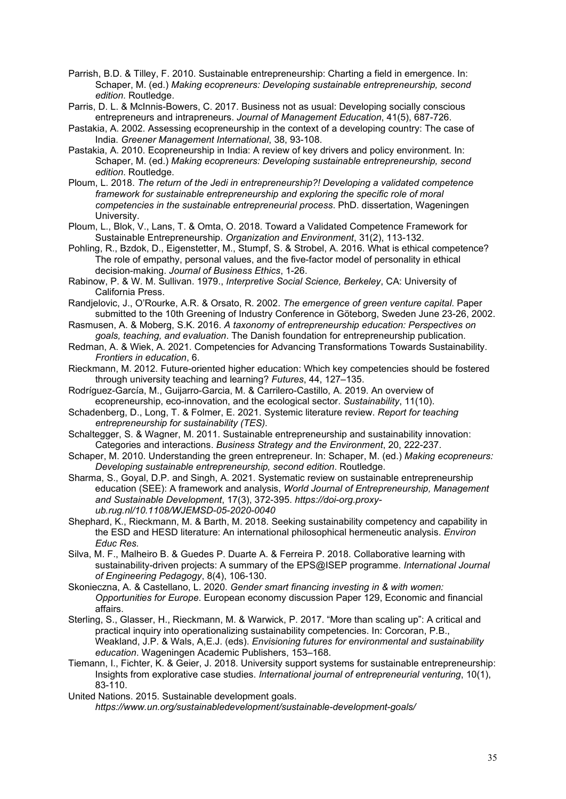- Parrish, B.D. & Tilley, F. 2010. Sustainable entrepreneurship: Charting a field in emergence. In: Schaper, M. (ed.) *Making ecopreneurs: Developing sustainable entrepreneurship, second edition*. Routledge.
- Parris, D. L. & McInnis-Bowers, C. 2017. Business not as usual: Developing socially conscious entrepreneurs and intrapreneurs. *Journal of Management Education*, 41(5), 687-726.
- Pastakia, A. 2002. Assessing ecopreneurship in the context of a developing country: The case of India. *Greener Management International*, 38, 93-108.
- Pastakia, A. 2010. Ecopreneurship in India: A review of key drivers and policy environment. In: Schaper, M. (ed.) *Making ecopreneurs: Developing sustainable entrepreneurship, second edition*. Routledge.
- Ploum, L. 2018. *The return of the Jedi in entrepreneurship?! Developing a validated competence framework for sustainable entrepreneurship and exploring the specific role of moral competencies in the sustainable entrepreneurial process*. PhD. dissertation, Wageningen University.
- Ploum, L., Blok, V., Lans, T. & Omta, O. 2018. Toward a Validated Competence Framework for Sustainable Entrepreneurship. *Organization and Environment*, 31(2), 113-132.
- Pohling, R., Bzdok, D., Eigenstetter, M., Stumpf, S. & Strobel, A. 2016. What is ethical competence? The role of empathy, personal values, and the five-factor model of personality in ethical decision-making. *Journal of Business Ethics*, 1-26.
- Rabinow, P. & W. M. Sullivan. 1979., *Interpretive Social Science, Berkeley*, CA: University of California Press.
- Randjelovic, J., O'Rourke, A.R. & Orsato, R. 2002. *The emergence of green venture capital*. Paper submitted to the 10th Greening of Industry Conference in Göteborg, Sweden June 23-26, 2002.
- Rasmusen, A. & Moberg, S.K. 2016. *A taxonomy of entrepreneurship education: Perspectives on goals, teaching, and evaluation*. The Danish foundation for entrepreneurship publication.
- Redman, A. & Wiek, A. 2021. Competencies for Advancing Transformations Towards Sustainability. *Frontiers in education*, 6.
- Rieckmann, M. 2012. Future-oriented higher education: Which key competencies should be fostered through university teaching and learning? *Futures*, 44, 127–135.
- Rodríguez-García, M., Guijarro-Garcia, M. & Carrilero-Castillo, A. 2019. An overview of ecopreneurship, eco-innovation, and the ecological sector. *Sustainability*, 11(10).
- Schadenberg, D., Long, T. & Folmer, E. 2021. Systemic literature review. *Report for teaching entrepreneurship for sustainability (TES).*
- Schaltegger, S. & Wagner, M. 2011. Sustainable entrepreneurship and sustainability innovation: Categories and interactions. *Business Strategy and the Environment*, 20, 222-237.
- Schaper, M. 2010. Understanding the green entrepreneur. In: Schaper, M. (ed.) *Making ecopreneurs: Developing sustainable entrepreneurship, second edition*. Routledge.
- Sharma, S., Goyal, D.P. and Singh, A. 2021. Systematic review on sustainable entrepreneurship education (SEE): A framework and analysis, *World Journal of Entrepreneurship, Management and Sustainable Development*, 17(3), 372-395. *[https://doi-org.proxy](https://doi-org.proxy-ub.rug.nl/10.1108/WJEMSD-05-2020-0040)[ub.rug.nl/10.1108/WJEMSD-05-2020-0040](https://doi-org.proxy-ub.rug.nl/10.1108/WJEMSD-05-2020-0040)*
- Shephard, K., Rieckmann, M. & Barth, M. 2018. Seeking sustainability competency and capability in the ESD and HESD literature: An international philosophical hermeneutic analysis. *Environ Educ Res.*
- Silva, M. F., Malheiro B. & Guedes P. Duarte A. & Ferreira P. 2018. Collaborative learning with sustainability-driven projects: A summary of the EPS@ISEP programme. *International Journal of Engineering Pedagogy*, 8(4), 106-130.
- Skonieczna, A. & Castellano, L. 2020. *Gender smart financing investing in & with women: Opportunities for Europe*. European economy discussion Paper 129, Economic and financial affairs.
- Sterling, S., Glasser, H., Rieckmann, M. & Warwick, P. 2017. "More than scaling up": A critical and practical inquiry into operationalizing sustainability competencies. In: Corcoran, P.B., Weakland, J.P. & Wals, A,E.J. (eds). *Envisioning futures for environmental and sustainability education*. Wageningen Academic Publishers, 153–168.
- Tiemann, I., Fichter, K. & Geier, J. 2018. University support systems for sustainable entrepreneurship: Insights from explorative case studies. *International journal of entrepreneurial venturing*, 10(1), 83-110.

United Nations. 2015. Sustainable development goals.

*<https://www.un.org/sustainabledevelopment/sustainable-development-goals/>*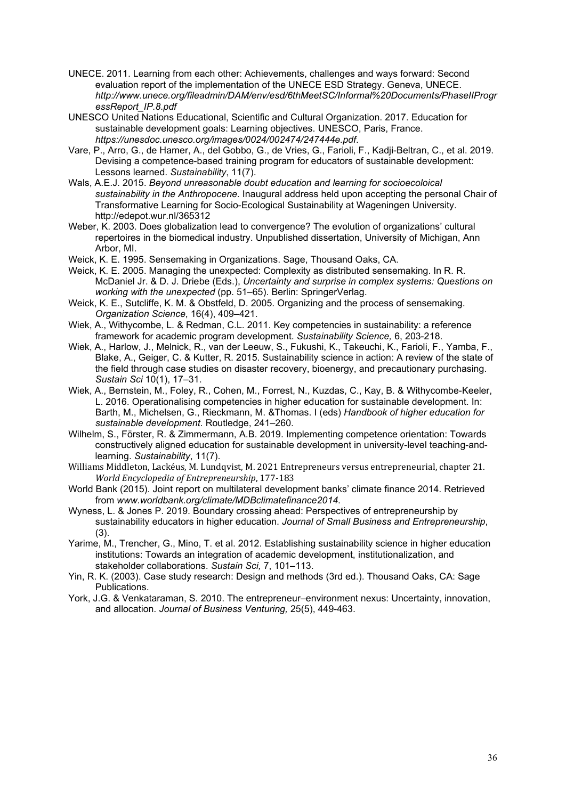- UNECE. 2011. Learning from each other: Achievements, challenges and ways forward: Second evaluation report of the implementation of the UNECE ESD Strategy. Geneva, UNECE. *[http://www.unece.org/fileadmin/DAM/env/esd/6thMeetSC/Informal%2](http://www.unece.org/fileadmin/DAM/env/esd/6thMeetSC/Informal%25)0Documents/PhaseIIProgr essReport\_IP.8.pdf*
- UNESCO United Nations Educational, Scientific and Cultural Organization. 2017. Education for sustainable development goals: Learning objectives. UNESCO, Paris, France. *<https://unesdoc.unesco.org/images/0024/002474/247444e.pdf>*.
- Vare, P., Arro, G., de Hamer, A., del Gobbo, G., de Vries, G., Farioli, F., Kadji-Beltran, C., et al. 2019. Devising a competence-based training program for educators of sustainable development: Lessons learned. *Sustainability*, 11(7).
- Wals, A.E.J. 2015. *Beyond unreasonable doubt education and learning for socioecoloical sustainability in the Anthropocene*. Inaugural address held upon accepting the personal Chair of Transformative Learning for Socio-Ecological Sustainability at Wageningen University. http://edepot.wur.nl/365312
- Weber, K. 2003. Does globalization lead to convergence? The evolution of organizations' cultural repertoires in the biomedical industry. Unpublished dissertation, University of Michigan, Ann Arbor, MI.
- Weick, K. E. 1995. Sensemaking in Organizations. Sage, Thousand Oaks, CA.
- Weick, K. E. 2005. Managing the unexpected: Complexity as distributed sensemaking. In R. R. McDaniel Jr. & D. J. Driebe (Eds.), *Uncertainty and surprise in complex systems: Questions on working with the unexpected* (pp. 51–65). Berlin: SpringerVerlag.
- Weick, K. E., Sutcliffe, K. M. & Obstfeld, D. 2005. Organizing and the process of sensemaking. *Organization Science*, 16(4), 409–421.
- Wiek, A., Withycombe, L. & Redman, C.L. 2011. Key competencies in sustainability: a reference framework for academic program development. *Sustainability Science,* 6, 203-218.
- Wiek, A., Harlow, J., Melnick, R., van der Leeuw, S., Fukushi, K., Takeuchi, K., Farioli, F., Yamba, F., Blake, A., Geiger, C. & Kutter, R. 2015. Sustainability science in action: A review of the state of the field through case studies on disaster recovery, bioenergy, and precautionary purchasing. *Sustain Sci* 10(1), 17–31.
- Wiek, A., Bernstein, M., Foley, R., Cohen, M., Forrest, N., Kuzdas, C., Kay, B. & Withycombe-Keeler, L. 2016. Operationalising competencies in higher education for sustainable development. In: Barth, M., Michelsen, G., Rieckmann, M. &Thomas. I (eds) *Handbook of higher education for sustainable development*. Routledge, 241–260.
- Wilhelm, S., Förster, R. & Zimmermann, A.B. 2019. Implementing competence orientation: Towards constructively aligned education for sustainable development in university-level teaching-andlearning. *Sustainability*, 11(7).
- Williams Middleton, Lackéus, M. Lundqvist, M. 2021 Entrepreneurs versus entrepreneurial, chapter 21. *World Encyclopedia of Entrepreneurship*, 177-183
- World Bank (2015). Joint report on multilateral development banks' climate finance 2014. Retrieved from *[www.worldbank.org/climate/MDBclimatefinance2014](http://www.worldbank.org/climate/MDBclimatefinance2014)*.
- Wyness, L. & Jones P. 2019. Boundary crossing ahead: Perspectives of entrepreneurship by sustainability educators in higher education. *Journal of Small Business and Entrepreneurship*, (3).
- Yarime, M., Trencher, G., Mino, T. et al. 2012. Establishing sustainability science in higher education institutions: Towards an integration of academic development, institutionalization, and stakeholder collaborations. *Sustain Sci,* 7, 101–113.
- Yin, R. K. (2003). Case study research: Design and methods (3rd ed.). Thousand Oaks, CA: Sage Publications.
- York, J.G. & Venkataraman, S. 2010. The entrepreneur–environment nexus: Uncertainty, innovation, and allocation. *Journal of Business Venturing,* 25(5), 449-463.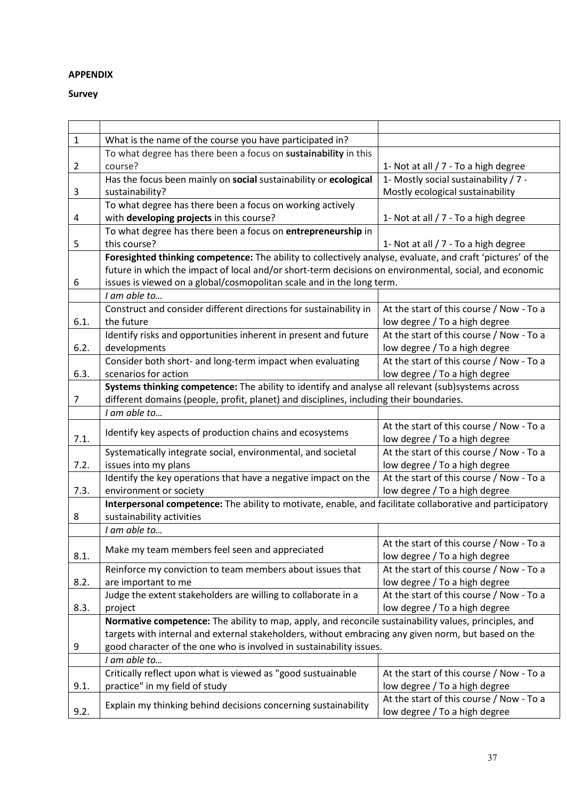# **APPENDIX**

# **Survey**

| $\mathbf{1}$ | What is the name of the course you have participated in?                                                    |                                          |
|--------------|-------------------------------------------------------------------------------------------------------------|------------------------------------------|
|              | To what degree has there been a focus on sustainability in this                                             |                                          |
| 2            | course?                                                                                                     | 1- Not at all / 7 - To a high degree     |
|              | Has the focus been mainly on social sustainability or ecological                                            | 1- Mostly social sustainability / 7 -    |
| 3            | sustainability?                                                                                             | Mostly ecological sustainability         |
|              | To what degree has there been a focus on working actively                                                   |                                          |
| 4            | with developing projects in this course?                                                                    | 1- Not at all / 7 - To a high degree     |
|              | To what degree has there been a focus on entrepreneurship in                                                |                                          |
| 5            | this course?                                                                                                | 1- Not at all / 7 - To a high degree     |
|              | Foresighted thinking competence: The ability to collectively analyse, evaluate, and craft 'pictures' of the |                                          |
|              | future in which the impact of local and/or short-term decisions on environmental, social, and economic      |                                          |
| 6            | issues is viewed on a global/cosmopolitan scale and in the long term.                                       |                                          |
|              | I am able to                                                                                                |                                          |
|              | Construct and consider different directions for sustainability in                                           | At the start of this course / Now - To a |
| 6.1.         | the future                                                                                                  | low degree / To a high degree            |
|              | Identify risks and opportunities inherent in present and future                                             | At the start of this course / Now - To a |
| 6.2.         | developments                                                                                                | low degree / To a high degree            |
|              | Consider both short- and long-term impact when evaluating                                                   | At the start of this course / Now - To a |
| 6.3.         | scenarios for action                                                                                        | low degree / To a high degree            |
|              | Systems thinking competence: The ability to identify and analyse all relevant (sub)systems across           |                                          |
| 7            | different domains (people, profit, planet) and disciplines, including their boundaries.                     |                                          |
|              | I am able to                                                                                                |                                          |
|              |                                                                                                             | At the start of this course / Now - To a |
| 7.1.         | Identify key aspects of production chains and ecosystems                                                    | low degree / To a high degree            |
|              | Systematically integrate social, environmental, and societal                                                | At the start of this course / Now - To a |
| 7.2.         | issues into my plans                                                                                        | low degree / To a high degree            |
|              | Identify the key operations that have a negative impact on the                                              | At the start of this course / Now - To a |
| 7.3.         | environment or society                                                                                      | low degree / To a high degree            |
|              | Interpersonal competence: The ability to motivate, enable, and facilitate collaborative and participatory   |                                          |
| 8            | sustainability activities                                                                                   |                                          |
|              | I am able to                                                                                                |                                          |
|              | Make my team members feel seen and appreciated                                                              | At the start of this course / Now - To a |
| 8.1.         |                                                                                                             | low degree / To a high degree            |
|              | Reinforce my conviction to team members about issues that                                                   | At the start of this course / Now - To a |
| 8.2.         | are important to me                                                                                         | low degree / To a high degree            |
|              | Judge the extent stakeholders are willing to collaborate in a                                               | At the start of this course / Now - To a |
| 8.3.         | project                                                                                                     | low degree / To a high degree            |
|              | Normative competence: The ability to map, apply, and reconcile sustainability values, principles, and       |                                          |
|              | targets with internal and external stakeholders, without embracing any given norm, but based on the         |                                          |
| 9            | good character of the one who is involved in sustainability issues.                                         |                                          |
|              | I am able to                                                                                                |                                          |
|              | Critically reflect upon what is viewed as "good sustuainable                                                | At the start of this course / Now - To a |
| 9.1.         | practice" in my field of study                                                                              | low degree / To a high degree            |
|              | Explain my thinking behind decisions concerning sustainability                                              | At the start of this course / Now - To a |
| 9.2.         |                                                                                                             | low degree / To a high degree            |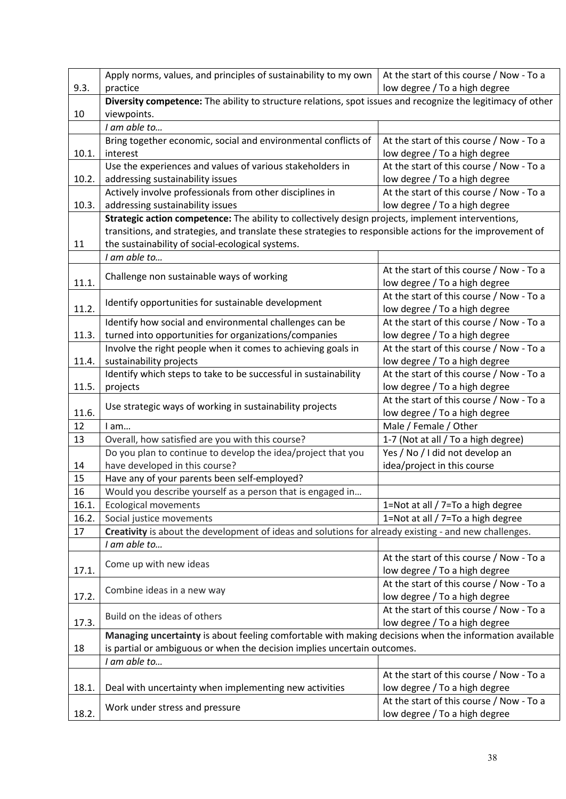|       | Apply norms, values, and principles of sustainability to my own                                                                                                                          | At the start of this course / Now - To a |
|-------|------------------------------------------------------------------------------------------------------------------------------------------------------------------------------------------|------------------------------------------|
| 9.3.  | practice                                                                                                                                                                                 | low degree / To a high degree            |
|       | Diversity competence: The ability to structure relations, spot issues and recognize the legitimacy of other                                                                              |                                          |
| 10    | viewpoints.                                                                                                                                                                              |                                          |
|       | I am able to                                                                                                                                                                             |                                          |
|       | Bring together economic, social and environmental conflicts of                                                                                                                           | At the start of this course / Now - To a |
| 10.1. | interest                                                                                                                                                                                 | low degree / To a high degree            |
|       | Use the experiences and values of various stakeholders in                                                                                                                                | At the start of this course / Now - To a |
| 10.2. | addressing sustainability issues                                                                                                                                                         | low degree / To a high degree            |
|       | Actively involve professionals from other disciplines in                                                                                                                                 | At the start of this course / Now - To a |
| 10.3. | addressing sustainability issues                                                                                                                                                         | low degree / To a high degree            |
|       | Strategic action competence: The ability to collectively design projects, implement interventions,                                                                                       |                                          |
|       | transitions, and strategies, and translate these strategies to responsible actions for the improvement of                                                                                |                                          |
| 11    | the sustainability of social-ecological systems.                                                                                                                                         |                                          |
|       | I am able to                                                                                                                                                                             |                                          |
|       |                                                                                                                                                                                          | At the start of this course / Now - To a |
| 11.1. | Challenge non sustainable ways of working                                                                                                                                                | low degree / To a high degree            |
|       |                                                                                                                                                                                          | At the start of this course / Now - To a |
| 11.2. | Identify opportunities for sustainable development                                                                                                                                       | low degree / To a high degree            |
|       | Identify how social and environmental challenges can be                                                                                                                                  | At the start of this course / Now - To a |
| 11.3. | turned into opportunities for organizations/companies                                                                                                                                    | low degree / To a high degree            |
|       | Involve the right people when it comes to achieving goals in                                                                                                                             | At the start of this course / Now - To a |
| 11.4. | sustainability projects                                                                                                                                                                  | low degree / To a high degree            |
|       | Identify which steps to take to be successful in sustainability                                                                                                                          | At the start of this course / Now - To a |
| 11.5. | projects                                                                                                                                                                                 | low degree / To a high degree            |
|       | Use strategic ways of working in sustainability projects                                                                                                                                 | At the start of this course / Now - To a |
| 11.6. |                                                                                                                                                                                          | low degree / To a high degree            |
| 12    | I am                                                                                                                                                                                     | Male / Female / Other                    |
| 13    | Overall, how satisfied are you with this course?                                                                                                                                         | 1-7 (Not at all / To a high degree)      |
|       | Do you plan to continue to develop the idea/project that you                                                                                                                             | Yes / No / I did not develop an          |
| 14    | have developed in this course?                                                                                                                                                           | idea/project in this course              |
| 15    | Have any of your parents been self-employed?                                                                                                                                             |                                          |
| 16    | Would you describe yourself as a person that is engaged in                                                                                                                               |                                          |
| 16.1. | <b>Ecological movements</b>                                                                                                                                                              | 1=Not at all / 7=To a high degree        |
| 16.2. | Social justice movements                                                                                                                                                                 | 1=Not at all / 7=To a high degree        |
| 17    | Creativity is about the development of ideas and solutions for already existing - and new challenges.                                                                                    |                                          |
|       | I am able to                                                                                                                                                                             |                                          |
|       | Come up with new ideas                                                                                                                                                                   | At the start of this course / Now - To a |
| 17.1. |                                                                                                                                                                                          | low degree / To a high degree            |
|       | Combine ideas in a new way                                                                                                                                                               | At the start of this course / Now - To a |
| 17.2. |                                                                                                                                                                                          | low degree / To a high degree            |
|       | Build on the ideas of others                                                                                                                                                             | At the start of this course / Now - To a |
| 17.3. |                                                                                                                                                                                          | low degree / To a high degree            |
|       | Managing uncertainty is about feeling comfortable with making decisions when the information available<br>is partial or ambiguous or when the decision implies uncertain outcomes.<br>18 |                                          |
|       |                                                                                                                                                                                          |                                          |
|       | I am able to                                                                                                                                                                             |                                          |
|       |                                                                                                                                                                                          | At the start of this course / Now - To a |
| 18.1. | Deal with uncertainty when implementing new activities                                                                                                                                   | low degree / To a high degree            |
|       | Work under stress and pressure                                                                                                                                                           | At the start of this course / Now - To a |
| 18.2. |                                                                                                                                                                                          | low degree / To a high degree            |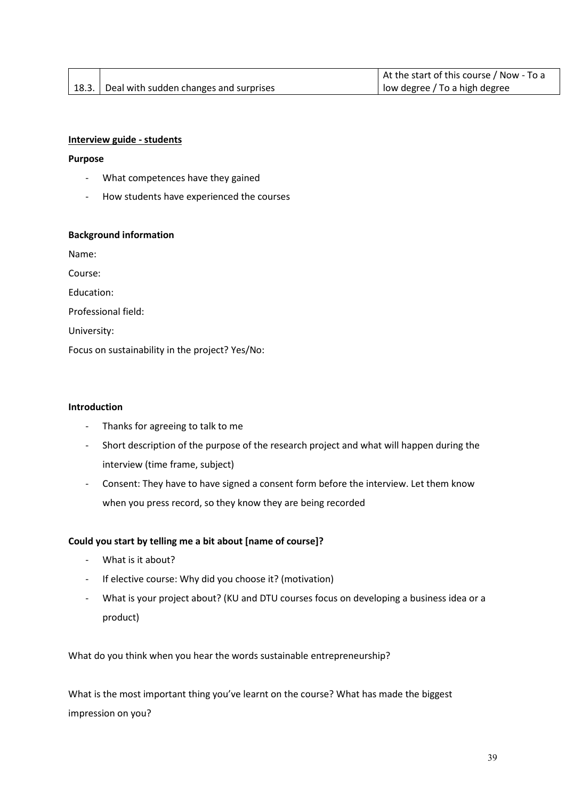|                                                | At the start of this course / Now - To a |
|------------------------------------------------|------------------------------------------|
| [18.3.] Deal with sudden changes and surprises | low degree / To a high degree            |

# **Interview guide - students**

### **Purpose**

- What competences have they gained
- How students have experienced the courses

### **Background information**

Name:

Course:

Education:

Professional field:

University:

Focus on sustainability in the project? Yes/No:

### **Introduction**

- Thanks for agreeing to talk to me
- Short description of the purpose of the research project and what will happen during the interview (time frame, subject)
- Consent: They have to have signed a consent form before the interview. Let them know when you press record, so they know they are being recorded

### **Could you start by telling me a bit about [name of course]?**

- What is it about?
- If elective course: Why did you choose it? (motivation)
- What is your project about? (KU and DTU courses focus on developing a business idea or a product)

What do you think when you hear the words sustainable entrepreneurship?

What is the most important thing you've learnt on the course? What has made the biggest impression on you?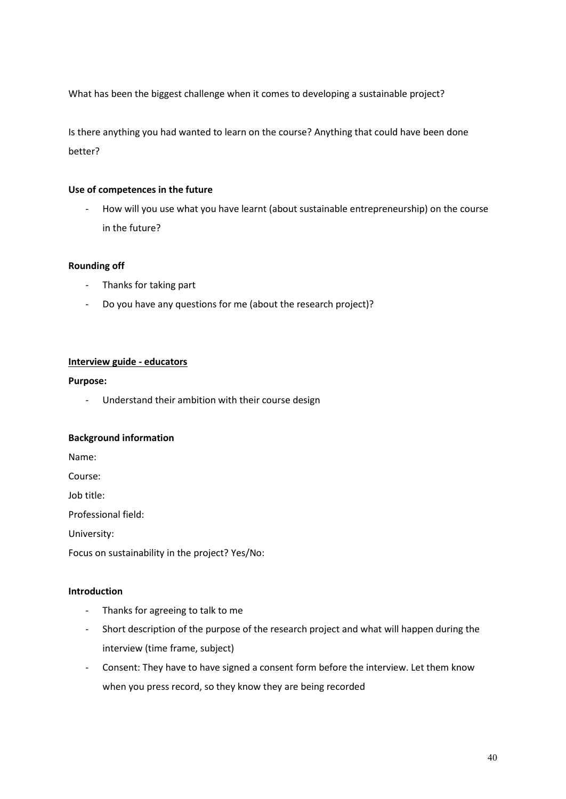What has been the biggest challenge when it comes to developing a sustainable project?

Is there anything you had wanted to learn on the course? Anything that could have been done better?

# **Use of competences in the future**

- How will you use what you have learnt (about sustainable entrepreneurship) on the course in the future?

# **Rounding off**

- Thanks for taking part
- Do you have any questions for me (about the research project)?

# **Interview guide - educators**

# **Purpose:**

- Understand their ambition with their course design

# **Background information**

Name:

Course:

Job title:

Professional field:

University:

Focus on sustainability in the project? Yes/No:

# **Introduction**

- Thanks for agreeing to talk to me
- Short description of the purpose of the research project and what will happen during the interview (time frame, subject)
- Consent: They have to have signed a consent form before the interview. Let them know when you press record, so they know they are being recorded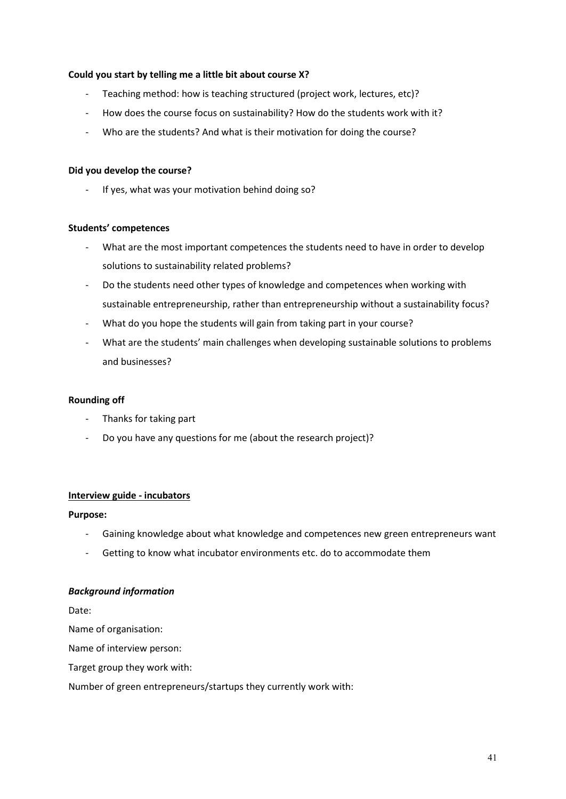# **Could you start by telling me a little bit about course X?**

- Teaching method: how is teaching structured (project work, lectures, etc)?
- How does the course focus on sustainability? How do the students work with it?
- Who are the students? And what is their motivation for doing the course?

# **Did you develop the course?**

If yes, what was your motivation behind doing so?

# **Students' competences**

- What are the most important competences the students need to have in order to develop solutions to sustainability related problems?
- Do the students need other types of knowledge and competences when working with sustainable entrepreneurship, rather than entrepreneurship without a sustainability focus?
- What do you hope the students will gain from taking part in your course?
- What are the students' main challenges when developing sustainable solutions to problems and businesses?

# **Rounding off**

- Thanks for taking part
- Do you have any questions for me (about the research project)?

# **Interview guide - incubators**

# **Purpose:**

- Gaining knowledge about what knowledge and competences new green entrepreneurs want
- Getting to know what incubator environments etc. do to accommodate them

# *Background information*

Date:

Name of organisation:

Name of interview person:

Target group they work with:

Number of green entrepreneurs/startups they currently work with: